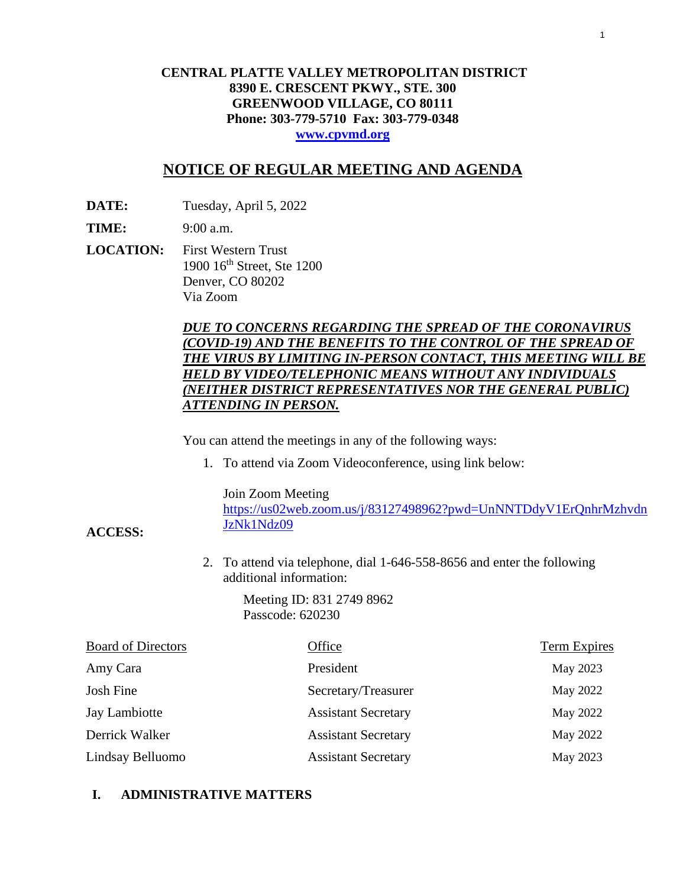## **CENTRAL PLATTE VALLEY METROPOLITAN DISTRICT 8390 E. CRESCENT PKWY., STE. 300 GREENWOOD VILLAGE, CO 80111 Phone: 303-779-5710 Fax: 303-779-0348 [www.cpvmd.org](http://www.cpvmd.org/)**

## **NOTICE OF REGULAR MEETING AND AGENDA**

**DATE:** Tuesday, April 5, 2022

**TIME:** 9:00 a.m.

**ACCESS:**

**LOCATION:** First Western Trust 1900 16th Street, Ste 1200 Denver, CO 80202 Via Zoom

## *DUE TO CONCERNS REGARDING THE SPREAD OF THE CORONAVIRUS (COVID-19) AND THE BENEFITS TO THE CONTROL OF THE SPREAD OF THE VIRUS BY LIMITING IN-PERSON CONTACT, THIS MEETING WILL BE HELD BY VIDEO/TELEPHONIC MEANS WITHOUT ANY INDIVIDUALS (NEITHER DISTRICT REPRESENTATIVES NOR THE GENERAL PUBLIC) ATTENDING IN PERSON.*

You can attend the meetings in any of the following ways:

1. To attend via Zoom Videoconference, using link below:

Join Zoom Meeting

[https://us02web.zoom.us/j/83127498962?pwd=UnNNTDdyV1ErQnhrMzhvdn](https://nam11.safelinks.protection.outlook.com/?url=https%3A%2F%2Fus02web.zoom.us%2Fj%2F83127498962%3Fpwd%3DUnNNTDdyV1ErQnhrMzhvdnJzNk1Ndz09&data=04%7C01%7CRachel.alles%40claconnect.com%7C515b8a3a5bb149f0483608d9bfe9225c%7C4aaa468e93ba4ee3ab9f6a247aa3ade0%7C0%7C0%7C637751830440162010%7CUnknown%7CTWFpbGZsb3d8eyJWIjoiMC4wLjAwMDAiLCJQIjoiV2luMzIiLCJBTiI6Ik1haWwiLCJXVCI6Mn0%3D%7C1000&sdata=52L7UuwlopVA0rXq4v79MPjtXkMJTQPWRs1BvoYRINs%3D&reserved=0) [JzNk1Ndz09](https://nam11.safelinks.protection.outlook.com/?url=https%3A%2F%2Fus02web.zoom.us%2Fj%2F83127498962%3Fpwd%3DUnNNTDdyV1ErQnhrMzhvdnJzNk1Ndz09&data=04%7C01%7CRachel.alles%40claconnect.com%7C515b8a3a5bb149f0483608d9bfe9225c%7C4aaa468e93ba4ee3ab9f6a247aa3ade0%7C0%7C0%7C637751830440162010%7CUnknown%7CTWFpbGZsb3d8eyJWIjoiMC4wLjAwMDAiLCJQIjoiV2luMzIiLCJBTiI6Ik1haWwiLCJXVCI6Mn0%3D%7C1000&sdata=52L7UuwlopVA0rXq4v79MPjtXkMJTQPWRs1BvoYRINs%3D&reserved=0)

2. To attend via telephone, dial 1-646-558-8656 and enter the following additional information:

> Meeting ID: 831 2749 8962 Passcode: 620230

| <b>Board of Directors</b> | Office                     | <b>Term Expires</b> |
|---------------------------|----------------------------|---------------------|
| Amy Cara                  | President                  | May 2023            |
| Josh Fine                 | Secretary/Treasurer        | May 2022            |
| Jay Lambiotte             | <b>Assistant Secretary</b> | May 2022            |
| Derrick Walker            | <b>Assistant Secretary</b> | May 2022            |
| Lindsay Belluomo          | <b>Assistant Secretary</b> | May 2023            |

## **I. ADMINISTRATIVE MATTERS**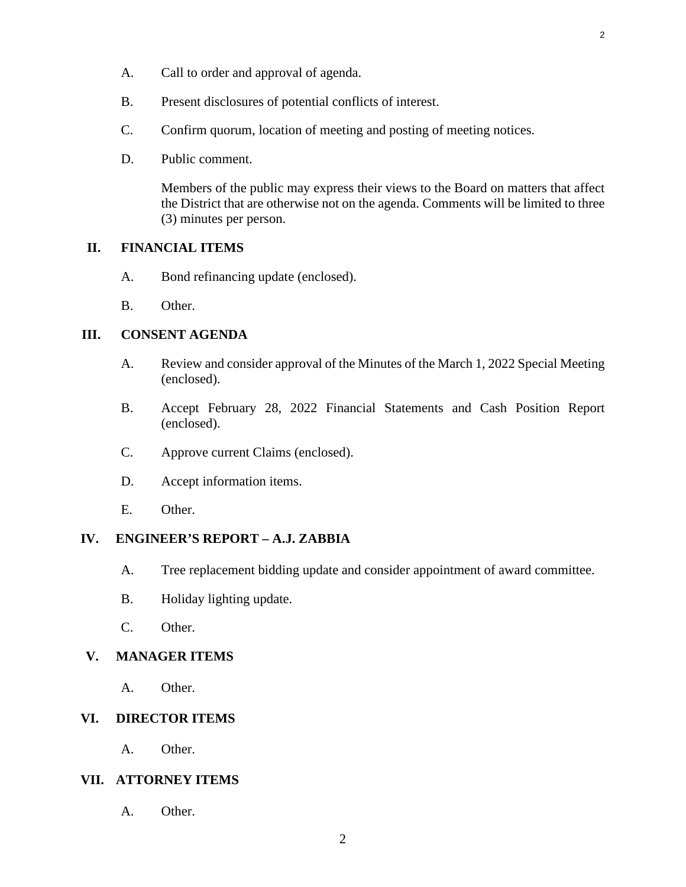- B. Present disclosures of potential conflicts of interest.
- C. Confirm quorum, location of meeting and posting of meeting notices.
- D. Public comment.

Members of the public may express their views to the Board on matters that affect the District that are otherwise not on the agenda. Comments will be limited to three (3) minutes per person.

## **II. FINANCIAL ITEMS**

- A. [Bond refinancing update \(enclosed\).](#page-3-0)
- B. Other.

## **III. CONSENT AGENDA**

- A. [Review and consider approval of the Minutes of the March 1, 2022 Special Meeting](#page-7-0) (enclosed).
- B. Accept February 28, 2022 [Financial Statements and Cash Position Report](#page-11-0) (enclosed).
- C. [Approve current Claims \(enclosed\).](#page-25-0)
- D. Accept information items.
- E. Other.

## **IV. ENGINEER'S REPORT – A.J. ZABBIA**

- A. Tree replacement bidding update and consider appointment of award committee.
- B. Holiday lighting update.
- C. Other.

## **V. MANAGER ITEMS**

A. Other.

## **VI. DIRECTOR ITEMS**

A. Other.

## **VII. ATTORNEY ITEMS**

A. Other.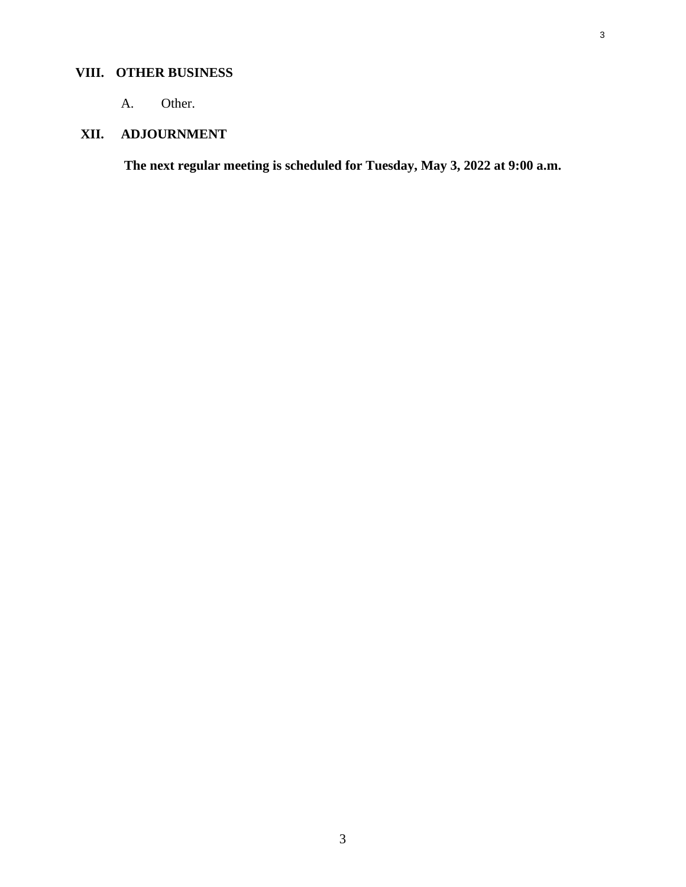# **VIII. OTHER BUSINESS**

A. Other.

# **XII. ADJOURNMENT**

**The next regular meeting is scheduled for Tuesday, May 3, 2022 at 9:00 a.m.**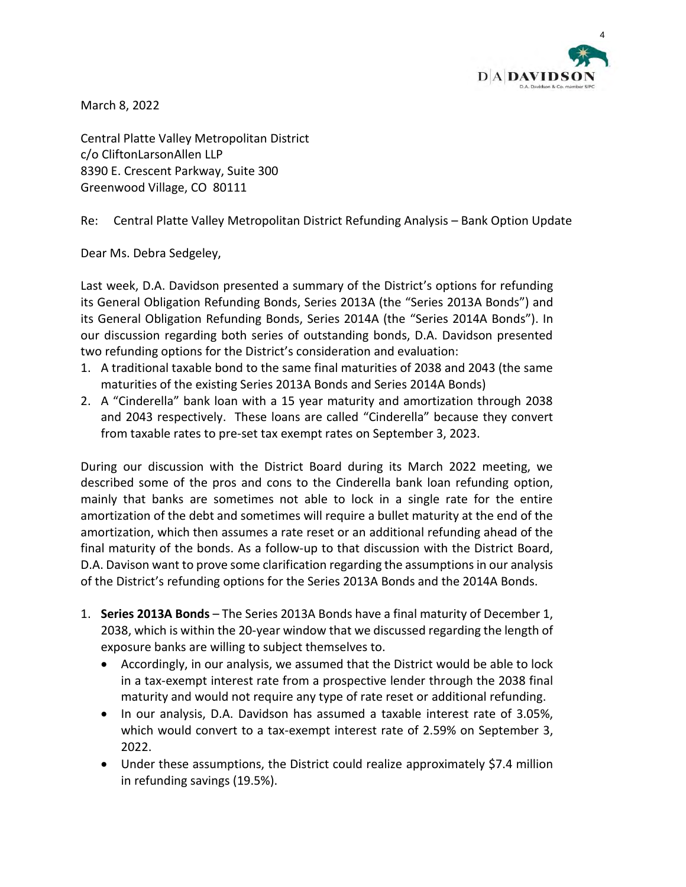

<span id="page-3-0"></span>March 8, 2022

Central Platte Valley Metropolitan District c/o CliftonLarsonAllen LLP 8390 E. Crescent Parkway, Suite 300 Greenwood Village, CO 80111

Re: Central Platte Valley Metropolitan District Refunding Analysis – Bank Option Update

Dear Ms. Debra Sedgeley,

Last week, D.A. Davidson presented a summary of the District's options for refunding its General Obligation Refunding Bonds, Series 2013A (the "Series 2013A Bonds") and its General Obligation Refunding Bonds, Series 2014A (the "Series 2014A Bonds"). In our discussion regarding both series of outstanding bonds, D.A. Davidson presented two refunding options for the District's consideration and evaluation:

- 1. A traditional taxable bond to the same final maturities of 2038 and 2043 (the same maturities of the existing Series 2013A Bonds and Series 2014A Bonds)
- 2. A "Cinderella" bank loan with a 15 year maturity and amortization through 2038 and 2043 respectively. These loans are called "Cinderella" because they convert from taxable rates to pre-set tax exempt rates on September 3, 2023.

During our discussion with the District Board during its March 2022 meeting, we described some of the pros and cons to the Cinderella bank loan refunding option, mainly that banks are sometimes not able to lock in a single rate for the entire amortization of the debt and sometimes will require a bullet maturity at the end of the amortization, which then assumes a rate reset or an additional refunding ahead of the final maturity of the bonds. As a follow-up to that discussion with the District Board, D.A. Davison want to prove some clarification regarding the assumptions in our analysis of the District's refunding options for the Series 2013A Bonds and the 2014A Bonds.

- 1. **Series 2013A Bonds** The Series 2013A Bonds have a final maturity of December 1, 2038, which is within the 20-year window that we discussed regarding the length of exposure banks are willing to subject themselves to.
	- Accordingly, in our analysis, we assumed that the District would be able to lock in a tax-exempt interest rate from a prospective lender through the 2038 final maturity and would not require any type of rate reset or additional refunding.
	- In our analysis, D.A. Davidson has assumed a taxable interest rate of 3.05%, which would convert to a tax-exempt interest rate of 2.59% on September 3, 2022.
	- Under these assumptions, the District could realize approximately \$7.4 million in refunding savings (19.5%).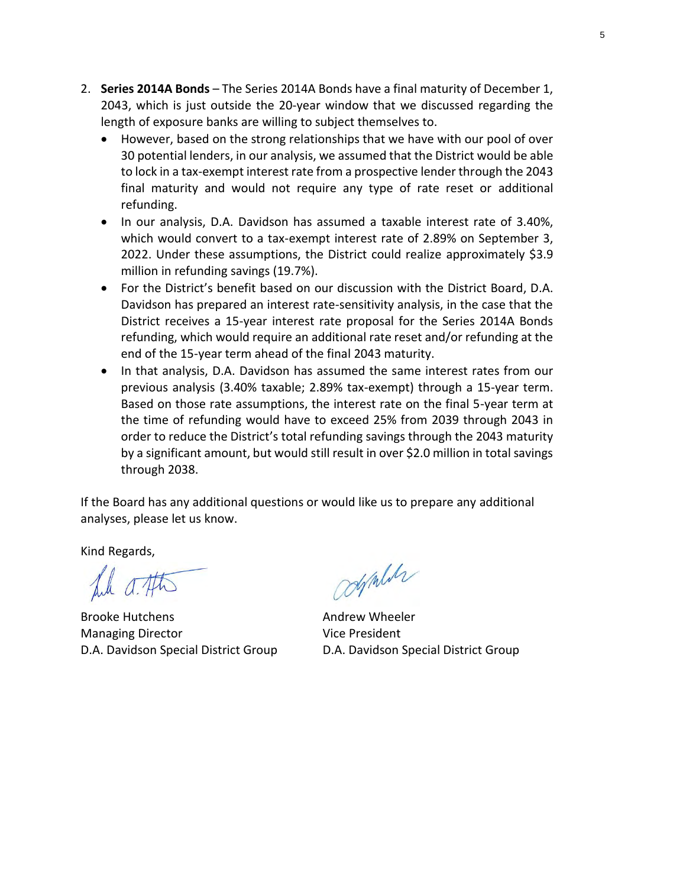- 2. **Series 2014A Bonds** The Series 2014A Bonds have a final maturity of December 1, 2043, which is just outside the 20-year window that we discussed regarding the length of exposure banks are willing to subject themselves to.
	- However, based on the strong relationships that we have with our pool of over 30 potential lenders, in our analysis, we assumed that the District would be able to lock in a tax-exempt interest rate from a prospective lender through the 2043 final maturity and would not require any type of rate reset or additional refunding.
	- In our analysis, D.A. Davidson has assumed a taxable interest rate of 3.40%, which would convert to a tax-exempt interest rate of 2.89% on September 3, 2022. Under these assumptions, the District could realize approximately \$3.9 million in refunding savings (19.7%).
	- For the District's benefit based on our discussion with the District Board, D.A. Davidson has prepared an interest rate-sensitivity analysis, in the case that the District receives a 15-year interest rate proposal for the Series 2014A Bonds refunding, which would require an additional rate reset and/or refunding at the end of the 15-year term ahead of the final 2043 maturity.
	- In that analysis, D.A. Davidson has assumed the same interest rates from our previous analysis (3.40% taxable; 2.89% tax-exempt) through a 15-year term. Based on those rate assumptions, the interest rate on the final 5-year term at the time of refunding would have to exceed 25% from 2039 through 2043 in order to reduce the District's total refunding savings through the 2043 maturity by a significant amount, but would still result in over \$2.0 million in total savings through 2038.

If the Board has any additional questions or would like us to prepare any additional analyses, please let us know.

Kind Regards,

file a. Atts

Brooke Hutchens **Andrew Wheeler** Managing Director **Vice President** D.A. Davidson Special District Group D.A. Davidson Special District Group

controlle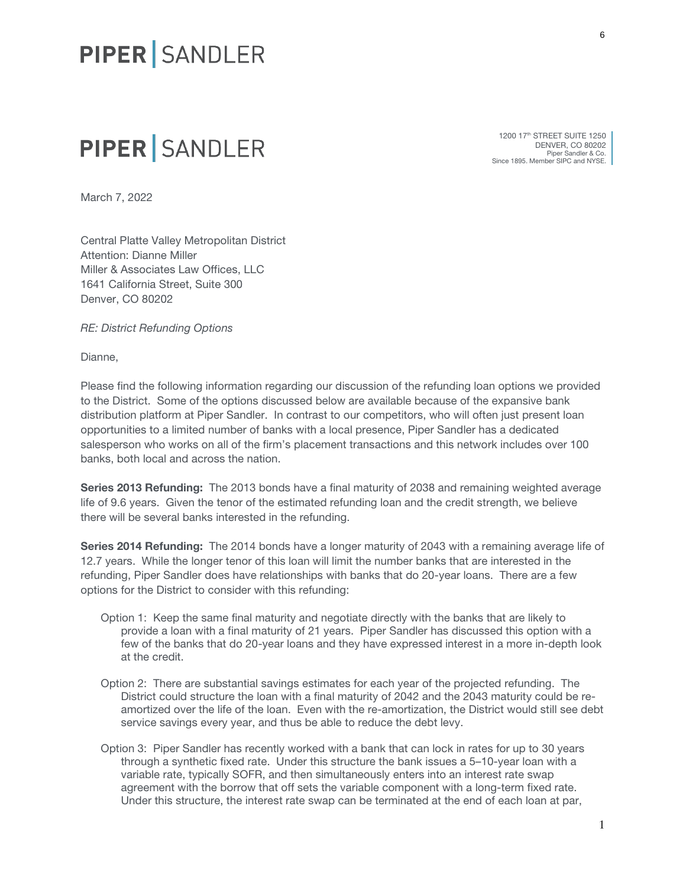# PIPER SANDLER

# PIPER SANDLER

1200 17<sup>th</sup> STREET SUITE 1250 DENVER, CO 80202 Piper Sandler & Co. Since 1895. Member SIPC and NYSE.

March 7, 2022

Central Platte Valley Metropolitan District Attention: Dianne Miller Miller & Associates Law Offices, LLC 1641 California Street, Suite 300 Denver, CO 80202

*RE: District Refunding Options*

Dianne,

Please find the following information regarding our discussion of the refunding loan options we provided to the District. Some of the options discussed below are available because of the expansive bank distribution platform at Piper Sandler. In contrast to our competitors, who will often just present loan opportunities to a limited number of banks with a local presence, Piper Sandler has a dedicated salesperson who works on all of the firm's placement transactions and this network includes over 100 banks, both local and across the nation.

Series 2013 Refunding: The 2013 bonds have a final maturity of 2038 and remaining weighted average life of 9.6 years. Given the tenor of the estimated refunding loan and the credit strength, we believe there will be several banks interested in the refunding.

Series 2014 Refunding: The 2014 bonds have a longer maturity of 2043 with a remaining average life of 12.7 years. While the longer tenor of this loan will limit the number banks that are interested in the refunding, Piper Sandler does have relationships with banks that do 20-year loans. There are a few options for the District to consider with this refunding:

- Option 1: Keep the same final maturity and negotiate directly with the banks that are likely to provide a loan with a final maturity of 21 years. Piper Sandler has discussed this option with a few of the banks that do 20-year loans and they have expressed interest in a more in-depth look at the credit.
- Option 2: There are substantial savings estimates for each year of the projected refunding. The District could structure the loan with a final maturity of 2042 and the 2043 maturity could be reamortized over the life of the loan. Even with the re-amortization, the District would still see debt service savings every year, and thus be able to reduce the debt levy.
- Option 3: Piper Sandler has recently worked with a bank that can lock in rates for up to 30 years through a synthetic fixed rate. Under this structure the bank issues a 5–10-year loan with a variable rate, typically SOFR, and then simultaneously enters into an interest rate swap agreement with the borrow that off sets the variable component with a long-term fixed rate. Under this structure, the interest rate swap can be terminated at the end of each loan at par,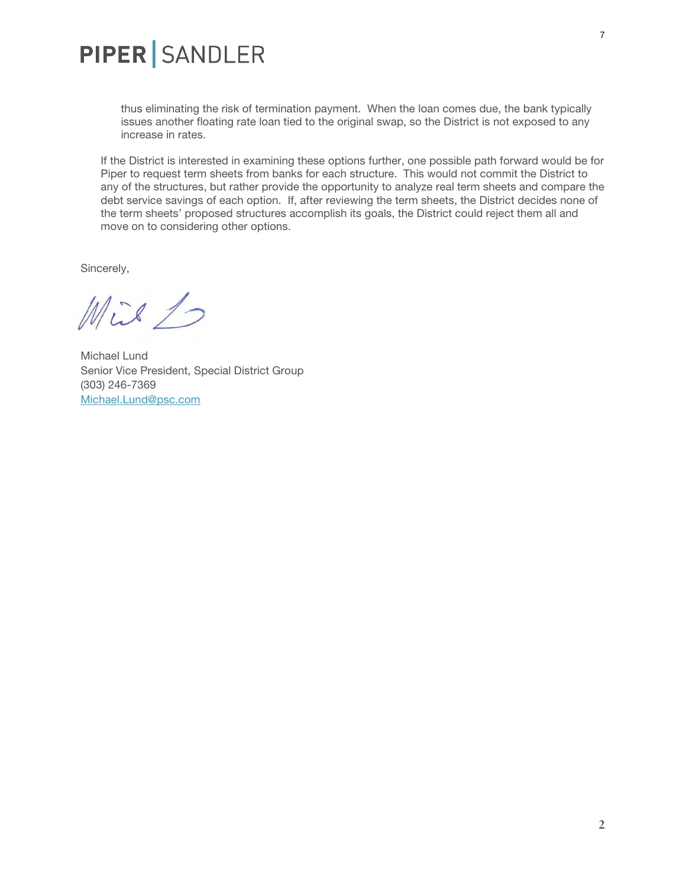

thus eliminating the risk of termination payment. When the loan comes due, the bank typically issues another floating rate loan tied to the original swap, so the District is not exposed to any increase in rates.

If the District is interested in examining these options further, one possible path forward would be for Piper to request term sheets from banks for each structure. This would not commit the District to any of the structures, but rather provide the opportunity to analyze real term sheets and compare the debt service savings of each option. If, after reviewing the term sheets, the District decides none of the term sheets' proposed structures accomplish its goals, the District could reject them all and move on to considering other options.

Sincerely,

Mix 1

Michael Lund Senior Vice President, Special District Group (303) 246-7369 [Michael.Lund@psc.com](mailto:Michael.Lund@psc.com)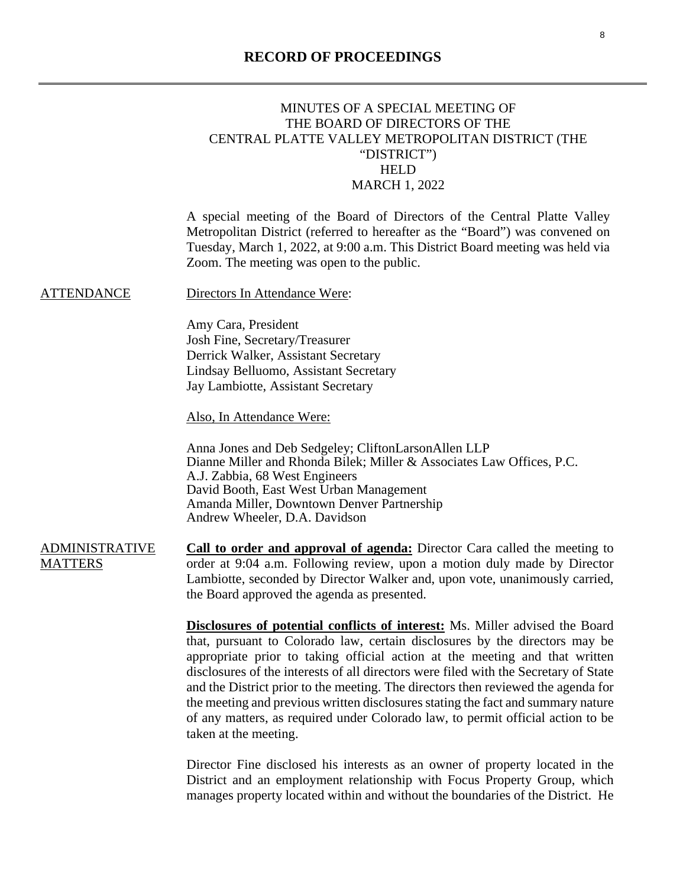# <span id="page-7-0"></span> MINUTES OF A SPECIAL MEETING OF THE BOARD OF DIRECTORS OF THE CENTRAL PLATTE VALLEY METROPOLITAN DISTRICT (THE "DISTRICT") HELD MARCH 1, 2022 A special meeting of the Board of Directors of the Central Platte Valley Metropolitan District (referred to hereafter as the "Board") was convened on Tuesday, March 1, 2022, at 9:00 a.m. This District Board meeting was held via Zoom. The meeting was open to the public. ATTENDANCE Directors In Attendance Were: Amy Cara, President Josh Fine, Secretary/Treasurer Derrick Walker, Assistant Secretary Lindsay Belluomo, Assistant Secretary Jay Lambiotte, Assistant Secretary Also, In Attendance Were: Anna Jones and Deb Sedgeley; CliftonLarsonAllen LLP Dianne Miller and Rhonda Bilek; Miller & Associates Law Offices, P.C. A.J. Zabbia, 68 West Engineers David Booth, East West Urban Management Amanda Miller, Downtown Denver Partnership Andrew Wheeler, D.A. Davidson ADMINISTRATIVE **MATTERS Call to order and approval of agenda:** Director Cara called the meeting to order at 9:04 a.m. Following review, upon a motion duly made by Director Lambiotte, seconded by Director Walker and, upon vote, unanimously carried, the Board approved the agenda as presented. **Disclosures of potential conflicts of interest:** Ms. Miller advised the Board that, pursuant to Colorado law, certain disclosures by the directors may be appropriate prior to taking official action at the meeting and that written disclosures of the interests of all directors were filed with the Secretary of State and the District prior to the meeting. The directors then reviewed the agenda for the meeting and previous written disclosures stating the fact and summary nature of any matters, as required under Colorado law, to permit official action to be taken at the meeting.

Director Fine disclosed his interests as an owner of property located in the District and an employment relationship with Focus Property Group, which manages property located within and without the boundaries of the District. He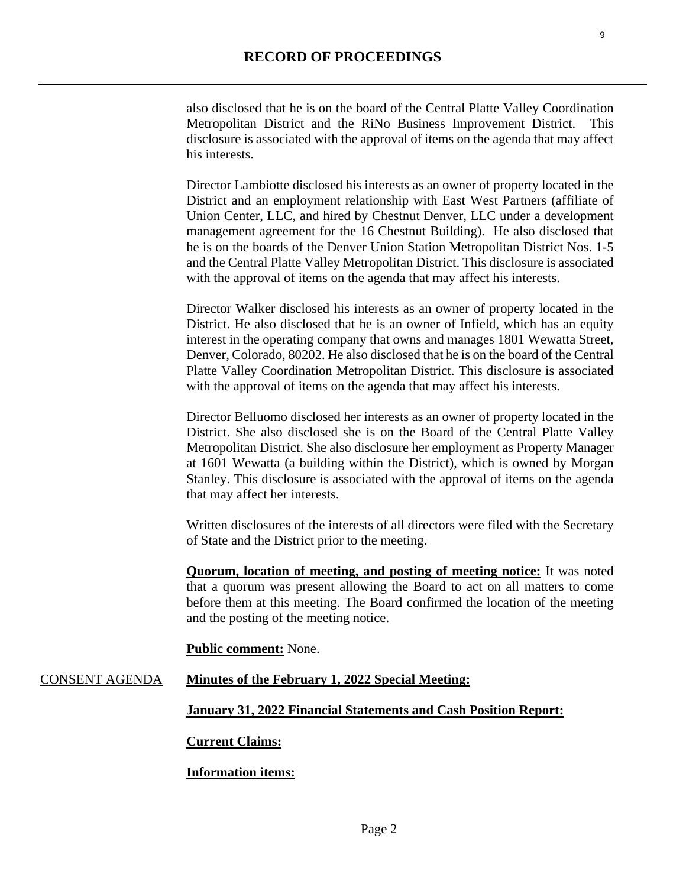also disclosed that he is on the board of the Central Platte Valley Coordination Metropolitan District and the RiNo Business Improvement District. This disclosure is associated with the approval of items on the agenda that may affect his interests.

Director Lambiotte disclosed his interests as an owner of property located in the District and an employment relationship with East West Partners (affiliate of Union Center, LLC, and hired by Chestnut Denver, LLC under a development management agreement for the 16 Chestnut Building). He also disclosed that he is on the boards of the Denver Union Station Metropolitan District Nos. 1-5 and the Central Platte Valley Metropolitan District. This disclosure is associated with the approval of items on the agenda that may affect his interests.

Director Walker disclosed his interests as an owner of property located in the District. He also disclosed that he is an owner of Infield, which has an equity interest in the operating company that owns and manages 1801 Wewatta Street, Denver, Colorado, 80202. He also disclosed that he is on the board of the Central Platte Valley Coordination Metropolitan District. This disclosure is associated with the approval of items on the agenda that may affect his interests.

Director Belluomo disclosed her interests as an owner of property located in the District. She also disclosed she is on the Board of the Central Platte Valley Metropolitan District. She also disclosure her employment as Property Manager at 1601 Wewatta (a building within the District), which is owned by Morgan Stanley. This disclosure is associated with the approval of items on the agenda that may affect her interests.

Written disclosures of the interests of all directors were filed with the Secretary of State and the District prior to the meeting.

**Quorum, location of meeting, and posting of meeting notice:** It was noted that a quorum was present allowing the Board to act on all matters to come before them at this meeting. The Board confirmed the location of the meeting and the posting of the meeting notice.

#### **Public comment:** None.

## CONSENT AGENDA **Minutes of the February 1, 2022 Special Meeting:**

**January 31, 2022 Financial Statements and Cash Position Report:** 

#### **Current Claims:**

## **Information items:**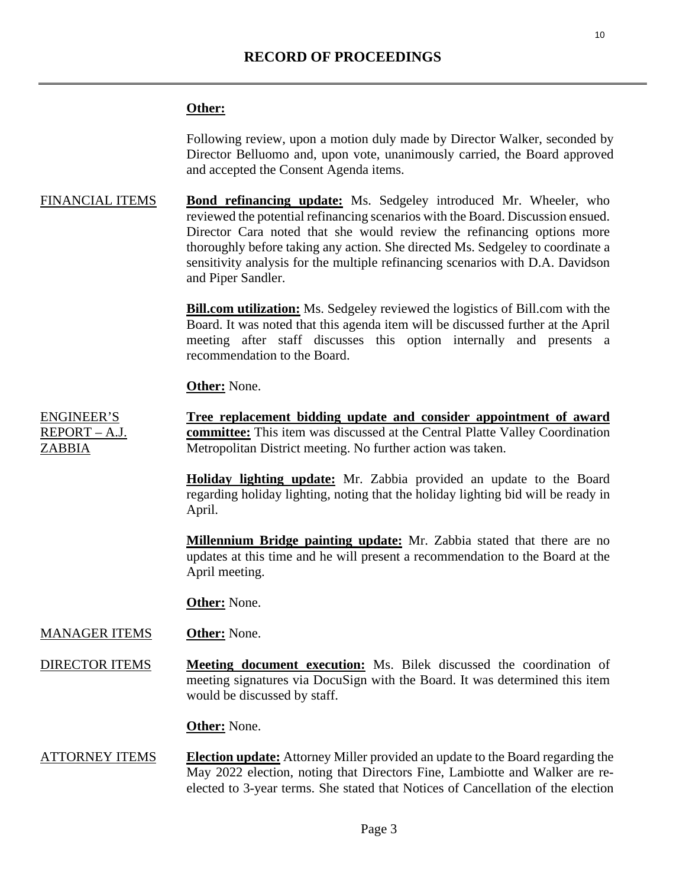### **Other:**

Following review, upon a motion duly made by Director Walker, seconded by Director Belluomo and, upon vote, unanimously carried, the Board approved and accepted the Consent Agenda items.

FINANCIAL ITEMS **Bond refinancing update:** Ms. Sedgeley introduced Mr. Wheeler, who reviewed the potential refinancing scenarios with the Board. Discussion ensued. Director Cara noted that she would review the refinancing options more thoroughly before taking any action. She directed Ms. Sedgeley to coordinate a sensitivity analysis for the multiple refinancing scenarios with D.A. Davidson and Piper Sandler.

> **Bill.com utilization:** Ms. Sedgeley reviewed the logistics of Bill.com with the Board. It was noted that this agenda item will be discussed further at the April meeting after staff discusses this option internally and presents a recommendation to the Board.

**Other:** None.

ENGINEER'S REPORT – A.J. ZABBIA **Tree replacement bidding update and consider appointment of award committee:** This item was discussed at the Central Platte Valley Coordination Metropolitan District meeting. No further action was taken.

> **Holiday lighting update:** Mr. Zabbia provided an update to the Board regarding holiday lighting, noting that the holiday lighting bid will be ready in April.

> **Millennium Bridge painting update:** Mr. Zabbia stated that there are no updates at this time and he will present a recommendation to the Board at the April meeting.

**Other:** None.

#### MANAGER ITEMS **Other:** None.

DIRECTOR ITEMS **Meeting document execution:** Ms. Bilek discussed the coordination of meeting signatures via DocuSign with the Board. It was determined this item would be discussed by staff.

**Other:** None.

ATTORNEY ITEMS **Election update:** Attorney Miller provided an update to the Board regarding the May 2022 election, noting that Directors Fine, Lambiotte and Walker are reelected to 3-year terms. She stated that Notices of Cancellation of the election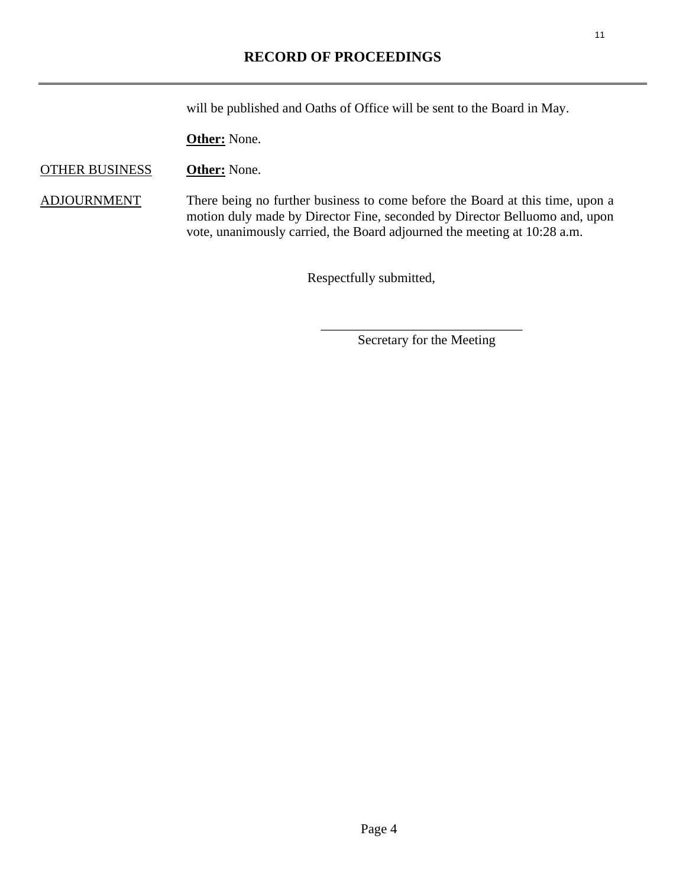will be published and Oaths of Office will be sent to the Board in May.

**Other:** None.

## OTHER BUSINESS **Other:** None.

ADJOURNMENT There being no further business to come before the Board at this time, upon a motion duly made by Director Fine, seconded by Director Belluomo and, upon vote, unanimously carried, the Board adjourned the meeting at 10:28 a.m.

Respectfully submitted,

Secretary for the Meeting

 $\overline{\phantom{a}}$  ,  $\overline{\phantom{a}}$  ,  $\overline{\phantom{a}}$  ,  $\overline{\phantom{a}}$  ,  $\overline{\phantom{a}}$  ,  $\overline{\phantom{a}}$  ,  $\overline{\phantom{a}}$  ,  $\overline{\phantom{a}}$  ,  $\overline{\phantom{a}}$  ,  $\overline{\phantom{a}}$  ,  $\overline{\phantom{a}}$  ,  $\overline{\phantom{a}}$  ,  $\overline{\phantom{a}}$  ,  $\overline{\phantom{a}}$  ,  $\overline{\phantom{a}}$  ,  $\overline{\phantom{a}}$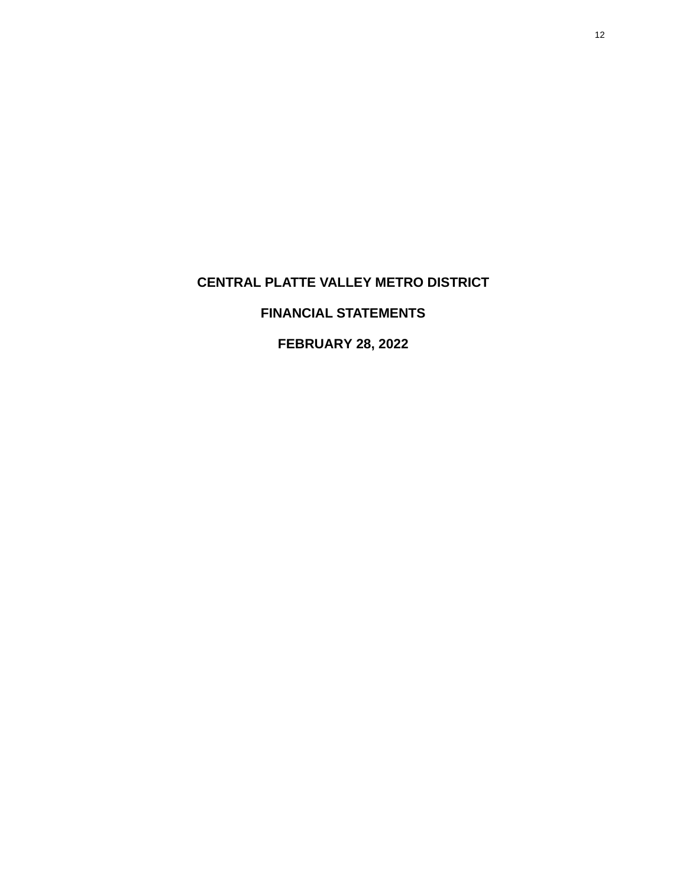# <span id="page-11-0"></span>**CENTRAL PLATTE VALLEY METRO DISTRICT**

# **FINANCIAL STATEMENTS**

**FEBRUARY 28, 2022**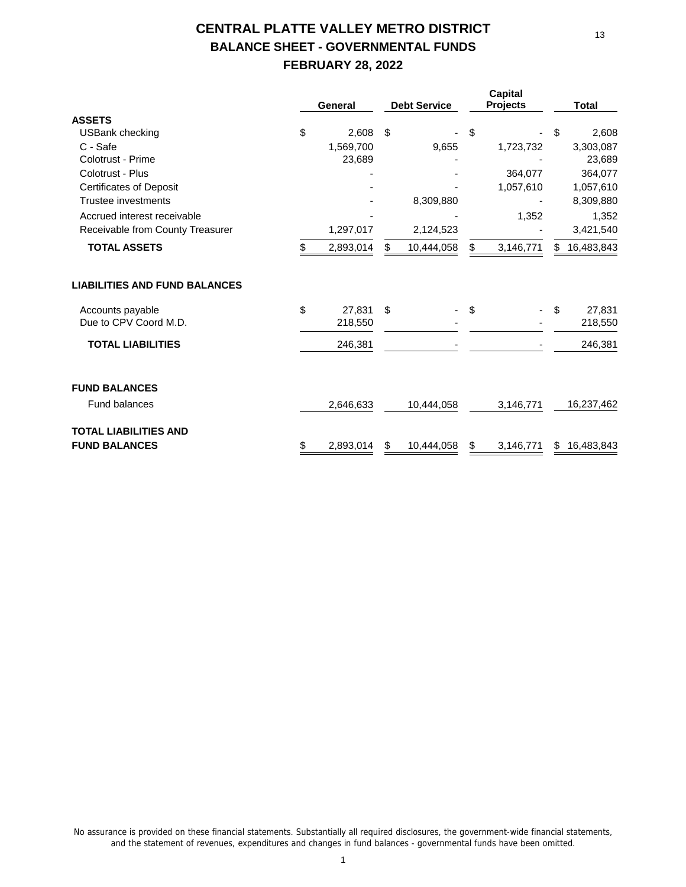# **CENTRAL PLATTE VALLEY METRO DISTRICT BALANCE SHEET - GOVERNMENTAL FUNDS FEBRUARY 28, 2022**

|                                      |     | General   |    | <b>Debt Service</b> | Capital<br><b>Projects</b> |    | <b>Total</b> |
|--------------------------------------|-----|-----------|----|---------------------|----------------------------|----|--------------|
| <b>ASSETS</b>                        |     |           |    |                     |                            |    |              |
| USBank checking                      | \$  | 2,608     | \$ |                     | \$                         | \$ | 2,608        |
| C - Safe                             |     | 1,569,700 |    | 9,655               | 1,723,732                  |    | 3,303,087    |
| Colotrust - Prime                    |     | 23,689    |    |                     |                            |    | 23,689       |
| Colotrust - Plus                     |     |           |    |                     | 364,077                    |    | 364,077      |
| <b>Certificates of Deposit</b>       |     |           |    |                     | 1,057,610                  |    | 1,057,610    |
| Trustee investments                  |     |           |    | 8,309,880           |                            |    | 8,309,880    |
| Accrued interest receivable          |     |           |    |                     | 1,352                      |    | 1,352        |
| Receivable from County Treasurer     |     | 1,297,017 |    | 2,124,523           |                            |    | 3,421,540    |
| <b>TOTAL ASSETS</b>                  | \$. | 2,893,014 | \$ | 10,444,058          | 3,146,771                  | S  | 16,483,843   |
| <b>LIABILITIES AND FUND BALANCES</b> |     |           |    |                     |                            |    |              |
| Accounts payable                     | \$  | 27.831    | \$ |                     | \$                         | \$ | 27,831       |
| Due to CPV Coord M.D.                |     | 218,550   |    |                     |                            |    | 218,550      |
| <b>TOTAL LIABILITIES</b>             |     | 246,381   |    |                     |                            |    | 246,381      |
| <b>FUND BALANCES</b>                 |     |           |    |                     |                            |    |              |
| <b>Fund balances</b>                 |     | 2,646,633 |    | 10,444,058          | 3,146,771                  |    | 16,237,462   |
| <b>TOTAL LIABILITIES AND</b>         |     |           |    |                     |                            |    |              |
| <b>FUND BALANCES</b>                 | \$  | 2,893,014 | \$ | 10,444,058          | \$<br>3,146,771            | \$ | 16,483,843   |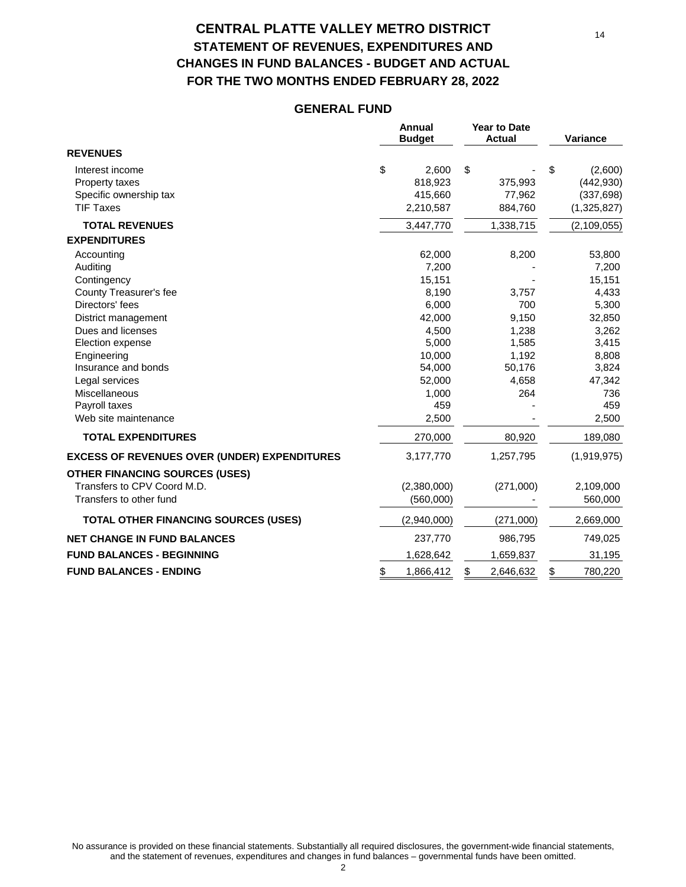# **CENTRAL PLATTE VALLEY METRO DISTRICT STATEMENT OF REVENUES, EXPENDITURES AND CHANGES IN FUND BALANCES - BUDGET AND ACTUAL FOR THE TWO MONTHS ENDED FEBRUARY 28, 2022**

## **GENERAL FUND**

|                                                     |    | Annual<br><b>Budget</b> | <b>Year to Date</b><br><b>Actual</b> | Variance      |
|-----------------------------------------------------|----|-------------------------|--------------------------------------|---------------|
| <b>REVENUES</b>                                     |    |                         |                                      |               |
| Interest income                                     | \$ | 2,600                   | \$                                   | \$<br>(2,600) |
| Property taxes                                      |    | 818,923                 | 375,993                              | (442, 930)    |
| Specific ownership tax                              |    | 415,660                 | 77,962                               | (337, 698)    |
| <b>TIF Taxes</b>                                    |    | 2,210,587               | 884,760                              | (1,325,827)   |
| <b>TOTAL REVENUES</b>                               |    | 3,447,770               | 1,338,715                            | (2,109,055)   |
| <b>EXPENDITURES</b>                                 |    |                         |                                      |               |
| Accounting                                          |    | 62,000                  | 8,200                                | 53,800        |
| Auditing                                            |    | 7,200                   |                                      | 7,200         |
| Contingency                                         |    | 15,151                  |                                      | 15,151        |
| County Treasurer's fee                              |    | 8,190                   | 3,757                                | 4,433         |
| Directors' fees                                     |    | 6,000                   | 700                                  | 5,300         |
| District management                                 |    | 42,000                  | 9,150                                | 32,850        |
| Dues and licenses                                   |    | 4,500                   | 1,238                                | 3,262         |
| Election expense                                    |    | 5,000                   | 1,585                                | 3,415         |
| Engineering                                         |    | 10,000                  | 1,192                                | 8,808         |
| Insurance and bonds                                 |    | 54,000                  | 50,176                               | 3,824         |
| Legal services                                      |    | 52,000                  | 4,658                                | 47,342        |
| Miscellaneous                                       |    | 1,000                   | 264                                  | 736           |
| Payroll taxes                                       |    | 459                     |                                      | 459           |
| Web site maintenance                                |    | 2,500                   |                                      | 2,500         |
| <b>TOTAL EXPENDITURES</b>                           |    | 270,000                 | 80,920                               | 189,080       |
| <b>EXCESS OF REVENUES OVER (UNDER) EXPENDITURES</b> |    | 3,177,770               | 1,257,795                            | (1,919,975)   |
| <b>OTHER FINANCING SOURCES (USES)</b>               |    |                         |                                      |               |
| Transfers to CPV Coord M.D.                         |    | (2,380,000)             | (271,000)                            | 2,109,000     |
| Transfers to other fund                             |    | (560,000)               |                                      | 560,000       |
|                                                     |    |                         |                                      |               |
| <b>TOTAL OTHER FINANCING SOURCES (USES)</b>         |    | (2,940,000)             | (271,000)                            | 2,669,000     |
| <b>NET CHANGE IN FUND BALANCES</b>                  |    | 237,770                 | 986,795                              | 749,025       |
| <b>FUND BALANCES - BEGINNING</b>                    |    | 1,628,642               | 1,659,837                            | 31,195        |
| <b>FUND BALANCES - ENDING</b>                       | \$ | 1,866,412               | \$<br>2,646,632                      | \$<br>780,220 |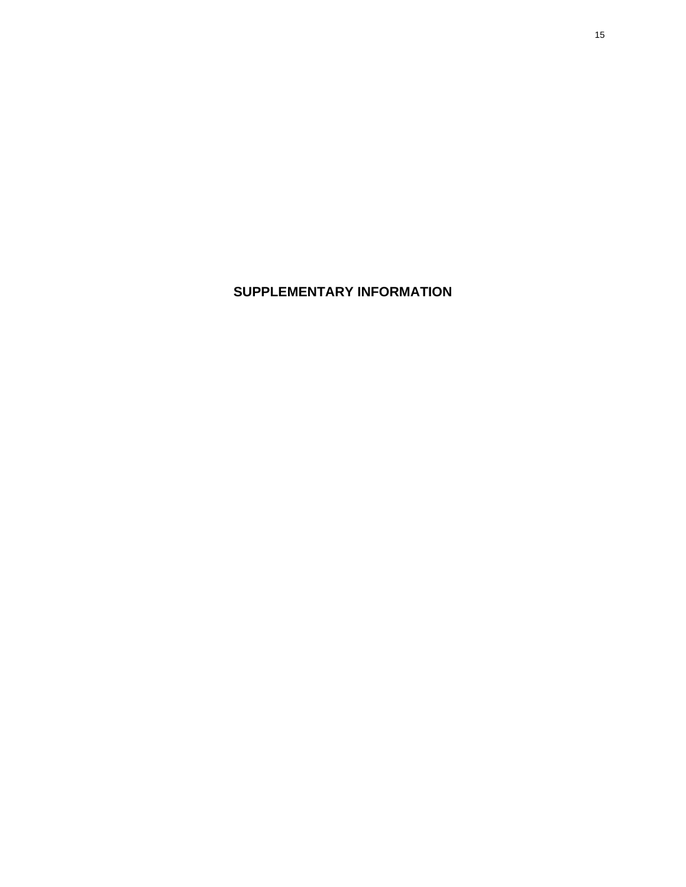**SUPPLEMENTARY INFORMATION**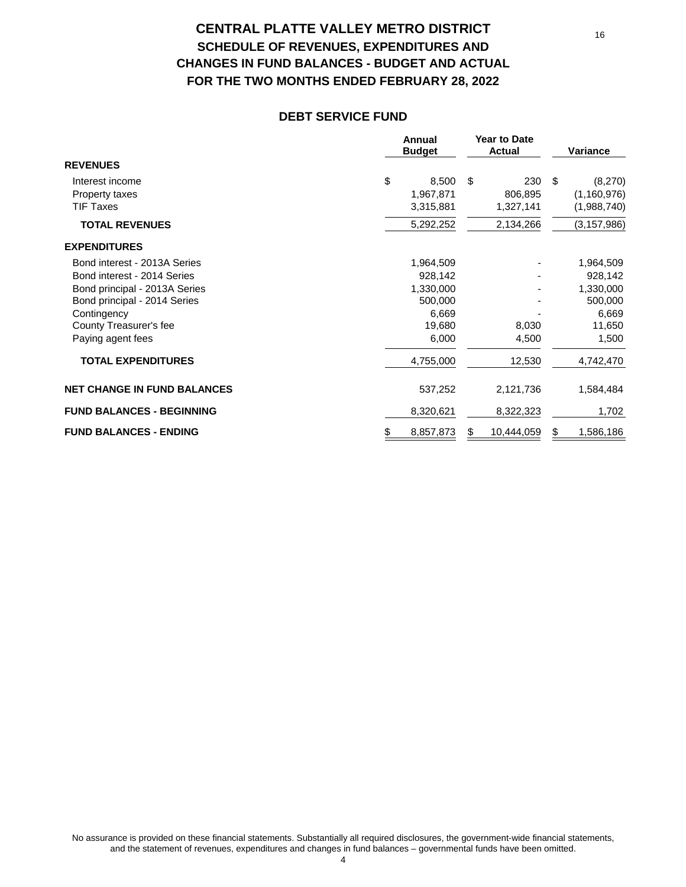# **CENTRAL PLATTE VALLEY METRO DISTRICT SCHEDULE OF REVENUES, EXPENDITURES AND CHANGES IN FUND BALANCES - BUDGET AND ACTUAL FOR THE TWO MONTHS ENDED FEBRUARY 28, 2022**

#### **DEBT SERVICE FUND**

|                                    | Annual<br><b>Budget</b> | <b>Year to Date</b><br>Actual | <b>Variance</b> |
|------------------------------------|-------------------------|-------------------------------|-----------------|
| <b>REVENUES</b>                    |                         |                               |                 |
| Interest income                    | \$<br>8,500             | 230<br>- \$                   | \$<br>(8,270)   |
| Property taxes                     | 1,967,871               | 806,895                       | (1, 160, 976)   |
| <b>TIF Taxes</b>                   | 3,315,881               | 1,327,141                     | (1,988,740)     |
| <b>TOTAL REVENUES</b>              | 5,292,252               | 2,134,266                     | (3, 157, 986)   |
| <b>EXPENDITURES</b>                |                         |                               |                 |
| Bond interest - 2013A Series       | 1,964,509               |                               | 1,964,509       |
| Bond interest - 2014 Series        | 928,142                 |                               | 928,142         |
| Bond principal - 2013A Series      | 1,330,000               |                               | 1,330,000       |
| Bond principal - 2014 Series       | 500,000                 |                               | 500,000         |
| Contingency                        | 6,669                   |                               | 6,669           |
| County Treasurer's fee             | 19,680                  | 8,030                         | 11,650          |
| Paying agent fees                  | 6,000                   | 4,500                         | 1,500           |
| <b>TOTAL EXPENDITURES</b>          | 4,755,000               | 12,530                        | 4,742,470       |
| <b>NET CHANGE IN FUND BALANCES</b> | 537,252                 | 2,121,736                     | 1,584,484       |
| <b>FUND BALANCES - BEGINNING</b>   | 8,320,621               | 8,322,323                     | 1,702           |
| <b>FUND BALANCES - ENDING</b>      | 8,857,873               | 10,444,059<br>\$              | 1,586,186<br>S  |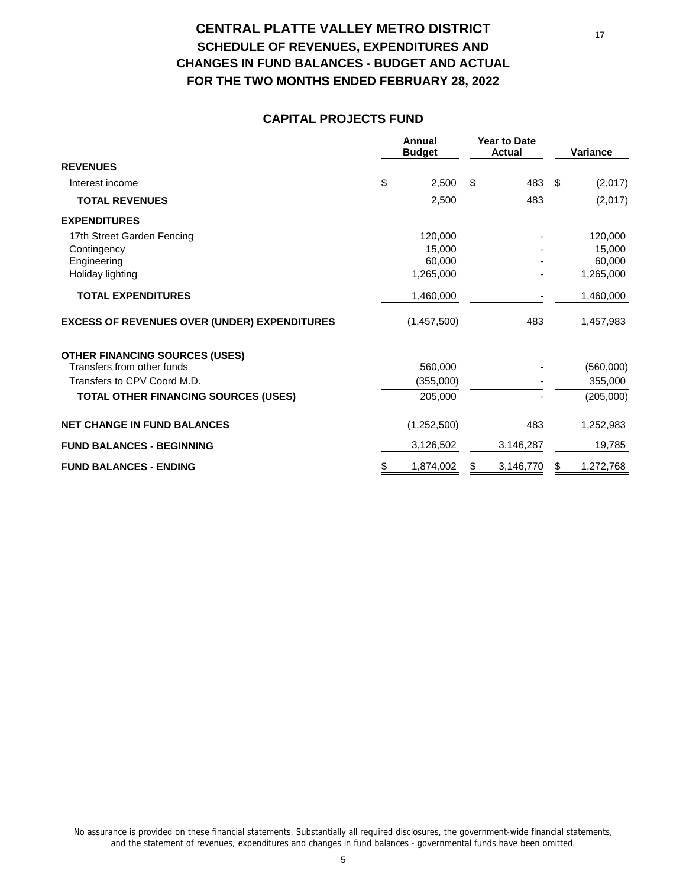# **CENTRAL PLATTE VALLEY METRO DISTRICT SCHEDULE OF REVENUES, EXPENDITURES AND CHANGES IN FUND BALANCES - BUDGET AND ACTUAL FOR THE TWO MONTHS ENDED FEBRUARY 28, 2022**

### **CAPITAL PROJECTS FUND**

|                                                     | Annual<br><b>Budget</b> | <b>Year to Date</b><br><b>Actual</b> | Variance        |
|-----------------------------------------------------|-------------------------|--------------------------------------|-----------------|
| <b>REVENUES</b>                                     |                         |                                      |                 |
| Interest income                                     | \$<br>2,500             | \$<br>483                            | \$<br>(2,017)   |
| <b>TOTAL REVENUES</b>                               | 2,500                   | 483                                  | (2,017)         |
| <b>EXPENDITURES</b>                                 |                         |                                      |                 |
| 17th Street Garden Fencing                          | 120,000                 |                                      | 120,000         |
| Contingency                                         | 15,000                  |                                      | 15,000          |
| Engineering                                         | 60,000                  |                                      | 60,000          |
| Holiday lighting                                    | 1,265,000               |                                      | 1,265,000       |
| <b>TOTAL EXPENDITURES</b>                           | 1,460,000               |                                      | 1,460,000       |
| <b>EXCESS OF REVENUES OVER (UNDER) EXPENDITURES</b> | (1,457,500)             | 483                                  | 1,457,983       |
| <b>OTHER FINANCING SOURCES (USES)</b>               |                         |                                      |                 |
| Transfers from other funds                          | 560,000                 |                                      | (560,000)       |
| Transfers to CPV Coord M.D.                         | (355,000)               |                                      | 355,000         |
| <b>TOTAL OTHER FINANCING SOURCES (USES)</b>         | 205,000                 |                                      | (205,000)       |
| <b>NET CHANGE IN FUND BALANCES</b>                  | (1,252,500)             | 483                                  | 1,252,983       |
| <b>FUND BALANCES - BEGINNING</b>                    | 3,126,502               | 3,146,287                            | 19,785          |
| <b>FUND BALANCES - ENDING</b>                       | \$<br>1,874,002         | \$<br>3,146,770                      | \$<br>1,272,768 |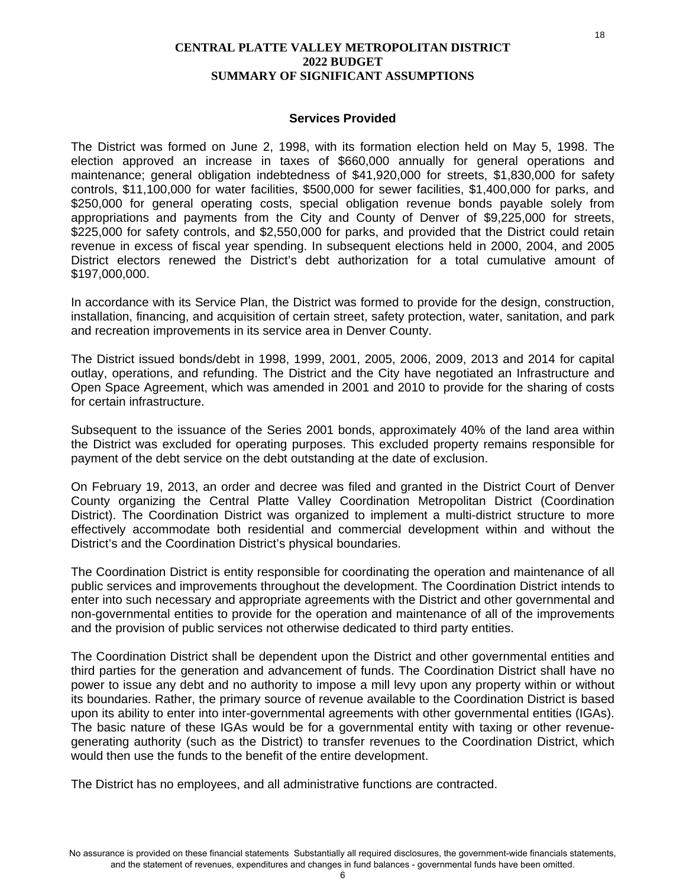#### **Services Provided**

The District was formed on June 2, 1998, with its formation election held on May 5, 1998. The election approved an increase in taxes of \$660,000 annually for general operations and maintenance; general obligation indebtedness of \$41,920,000 for streets, \$1,830,000 for safety controls, \$11,100,000 for water facilities, \$500,000 for sewer facilities, \$1,400,000 for parks, and \$250,000 for general operating costs, special obligation revenue bonds payable solely from appropriations and payments from the City and County of Denver of \$9,225,000 for streets, \$225,000 for safety controls, and \$2,550,000 for parks, and provided that the District could retain revenue in excess of fiscal year spending. In subsequent elections held in 2000, 2004, and 2005 District electors renewed the District's debt authorization for a total cumulative amount of \$197,000,000.

In accordance with its Service Plan, the District was formed to provide for the design, construction, installation, financing, and acquisition of certain street, safety protection, water, sanitation, and park and recreation improvements in its service area in Denver County.

The District issued bonds/debt in 1998, 1999, 2001, 2005, 2006, 2009, 2013 and 2014 for capital outlay, operations, and refunding. The District and the City have negotiated an Infrastructure and Open Space Agreement, which was amended in 2001 and 2010 to provide for the sharing of costs for certain infrastructure.

Subsequent to the issuance of the Series 2001 bonds, approximately 40% of the land area within the District was excluded for operating purposes. This excluded property remains responsible for payment of the debt service on the debt outstanding at the date of exclusion.

On February 19, 2013, an order and decree was filed and granted in the District Court of Denver County organizing the Central Platte Valley Coordination Metropolitan District (Coordination District). The Coordination District was organized to implement a multi-district structure to more effectively accommodate both residential and commercial development within and without the District's and the Coordination District's physical boundaries.

The Coordination District is entity responsible for coordinating the operation and maintenance of all public services and improvements throughout the development. The Coordination District intends to enter into such necessary and appropriate agreements with the District and other governmental and non-governmental entities to provide for the operation and maintenance of all of the improvements and the provision of public services not otherwise dedicated to third party entities.

The Coordination District shall be dependent upon the District and other governmental entities and third parties for the generation and advancement of funds. The Coordination District shall have no power to issue any debt and no authority to impose a mill levy upon any property within or without its boundaries. Rather, the primary source of revenue available to the Coordination District is based upon its ability to enter into inter-governmental agreements with other governmental entities (IGAs). The basic nature of these IGAs would be for a governmental entity with taxing or other revenuegenerating authority (such as the District) to transfer revenues to the Coordination District, which would then use the funds to the benefit of the entire development.

The District has no employees, and all administrative functions are contracted.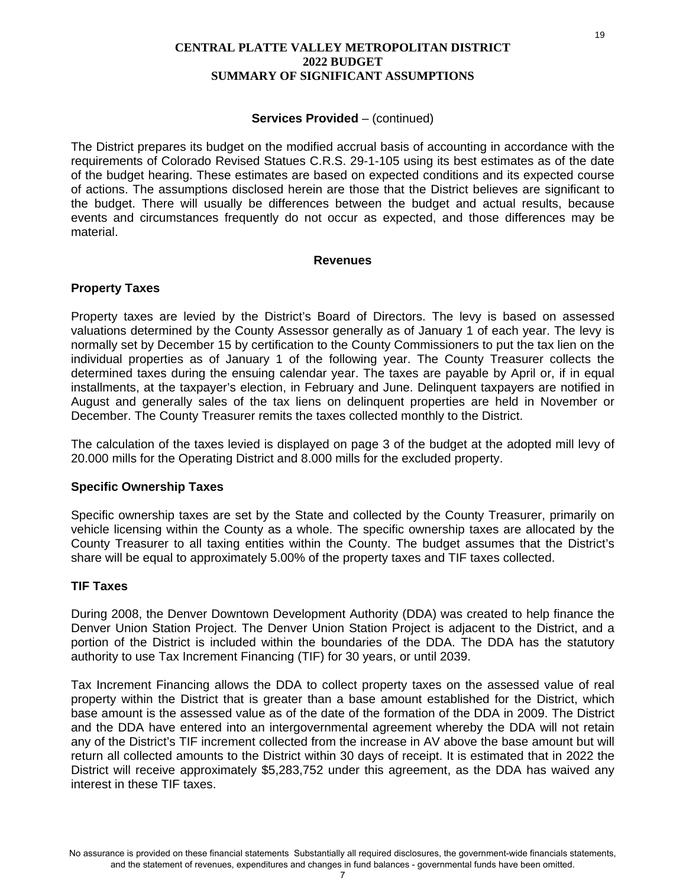#### **Services Provided – (continued)**

The District prepares its budget on the modified accrual basis of accounting in accordance with the requirements of Colorado Revised Statues C.R.S. 29-1-105 using its best estimates as of the date of the budget hearing. These estimates are based on expected conditions and its expected course of actions. The assumptions disclosed herein are those that the District believes are significant to the budget. There will usually be differences between the budget and actual results, because events and circumstances frequently do not occur as expected, and those differences may be material.

#### **Revenues**

#### **Property Taxes**

Property taxes are levied by the District's Board of Directors. The levy is based on assessed valuations determined by the County Assessor generally as of January 1 of each year. The levy is normally set by December 15 by certification to the County Commissioners to put the tax lien on the individual properties as of January 1 of the following year. The County Treasurer collects the determined taxes during the ensuing calendar year. The taxes are payable by April or, if in equal installments, at the taxpayer's election, in February and June. Delinquent taxpayers are notified in August and generally sales of the tax liens on delinquent properties are held in November or December. The County Treasurer remits the taxes collected monthly to the District.

The calculation of the taxes levied is displayed on page 3 of the budget at the adopted mill levy of 20.000 mills for the Operating District and 8.000 mills for the excluded property.

#### **Specific Ownership Taxes**

Specific ownership taxes are set by the State and collected by the County Treasurer, primarily on vehicle licensing within the County as a whole. The specific ownership taxes are allocated by the County Treasurer to all taxing entities within the County. The budget assumes that the District's share will be equal to approximately 5.00% of the property taxes and TIF taxes collected.

#### **TIF Taxes**

During 2008, the Denver Downtown Development Authority (DDA) was created to help finance the Denver Union Station Project. The Denver Union Station Project is adjacent to the District, and a portion of the District is included within the boundaries of the DDA. The DDA has the statutory authority to use Tax Increment Financing (TIF) for 30 years, or until 2039.

Tax Increment Financing allows the DDA to collect property taxes on the assessed value of real property within the District that is greater than a base amount established for the District, which base amount is the assessed value as of the date of the formation of the DDA in 2009. The District and the DDA have entered into an intergovernmental agreement whereby the DDA will not retain any of the District's TIF increment collected from the increase in AV above the base amount but will return all collected amounts to the District within 30 days of receipt. It is estimated that in 2022 the District will receive approximately \$5,283,752 under this agreement, as the DDA has waived any interest in these TIF taxes.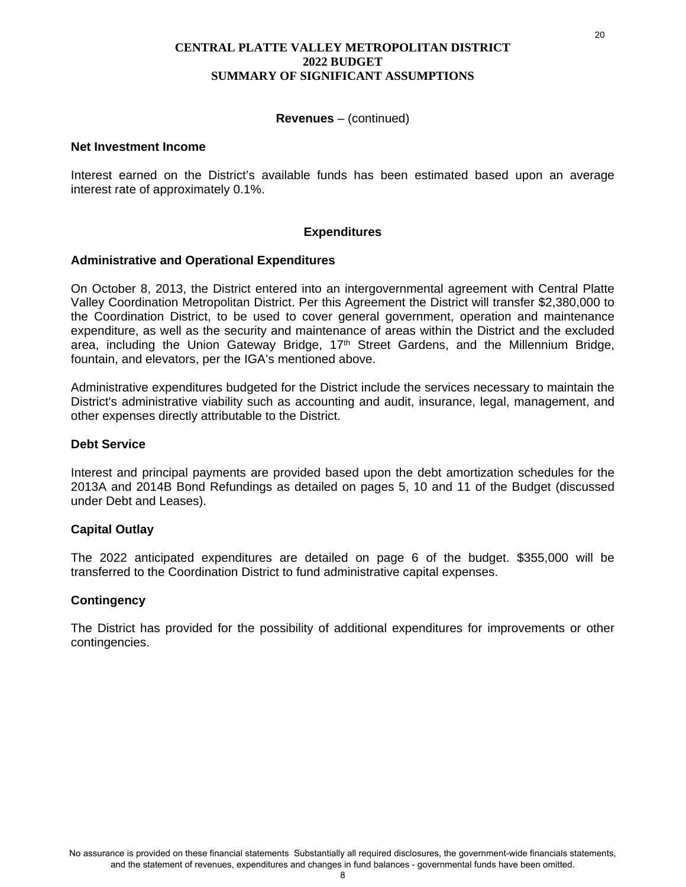#### **Revenues** – (continued)

#### **Net Investment Income**

Interest earned on the District's available funds has been estimated based upon an average interest rate of approximately 0.1%.

#### **Expenditures**

#### **Administrative and Operational Expenditures**

On October 8, 2013, the District entered into an intergovernmental agreement with Central Platte Valley Coordination Metropolitan District. Per this Agreement the District will transfer \$2,380,000 to the Coordination District, to be used to cover general government, operation and maintenance expenditure, as well as the security and maintenance of areas within the District and the excluded area, including the Union Gateway Bridge, 17<sup>th</sup> Street Gardens, and the Millennium Bridge, fountain, and elevators, per the IGA's mentioned above.

Administrative expenditures budgeted for the District include the services necessary to maintain the District's administrative viability such as accounting and audit, insurance, legal, management, and other expenses directly attributable to the District.

#### **Debt Service**

Interest and principal payments are provided based upon the debt amortization schedules for the 2013A and 2014B Bond Refundings as detailed on pages 5, 10 and 11 of the Budget (discussed under Debt and Leases).

#### **Capital Outlay**

The 2022 anticipated expenditures are detailed on page 6 of the budget. \$355,000 will be transferred to the Coordination District to fund administrative capital expenses.

#### **Contingency**

The District has provided for the possibility of additional expenditures for improvements or other contingencies.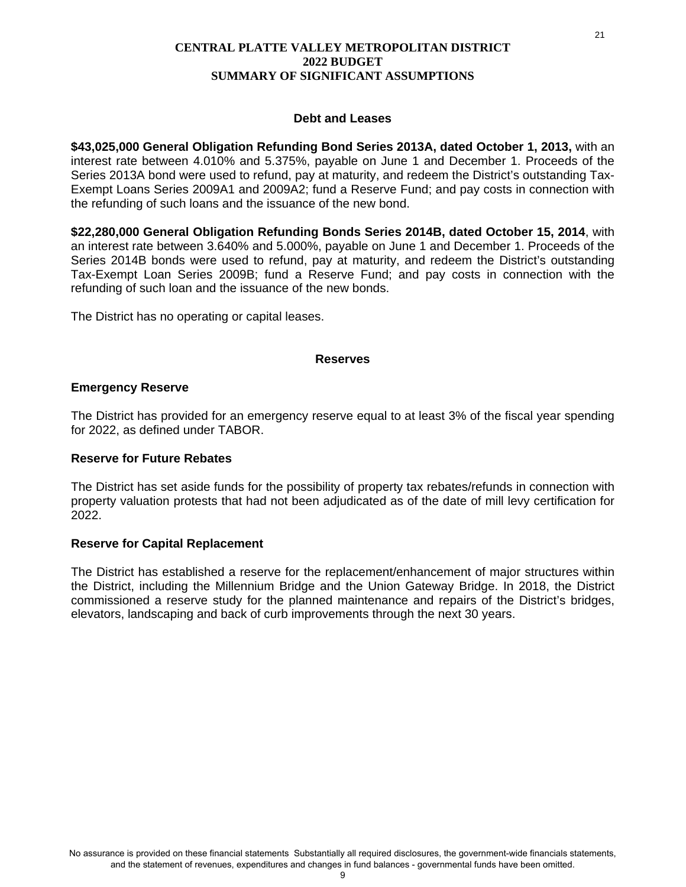#### **Debt and Leases**

**\$43,025,000 General Obligation Refunding Bond Series 2013A, dated October 1, 2013,** with an interest rate between 4.010% and 5.375%, payable on June 1 and December 1. Proceeds of the Series 2013A bond were used to refund, pay at maturity, and redeem the District's outstanding Tax-Exempt Loans Series 2009A1 and 2009A2; fund a Reserve Fund; and pay costs in connection with the refunding of such loans and the issuance of the new bond.

**\$22,280,000 General Obligation Refunding Bonds Series 2014B, dated October 15, 2014**, with an interest rate between 3.640% and 5.000%, payable on June 1 and December 1. Proceeds of the Series 2014B bonds were used to refund, pay at maturity, and redeem the District's outstanding Tax-Exempt Loan Series 2009B; fund a Reserve Fund; and pay costs in connection with the refunding of such loan and the issuance of the new bonds.

The District has no operating or capital leases.

#### **Reserves**

#### **Emergency Reserve**

The District has provided for an emergency reserve equal to at least 3% of the fiscal year spending for 2022, as defined under TABOR.

#### **Reserve for Future Rebates**

The District has set aside funds for the possibility of property tax rebates/refunds in connection with property valuation protests that had not been adjudicated as of the date of mill levy certification for 2022.

#### **Reserve for Capital Replacement**

The District has established a reserve for the replacement/enhancement of major structures within the District, including the Millennium Bridge and the Union Gateway Bridge. In 2018, the District commissioned a reserve study for the planned maintenance and repairs of the District's bridges, elevators, landscaping and back of curb improvements through the next 30 years.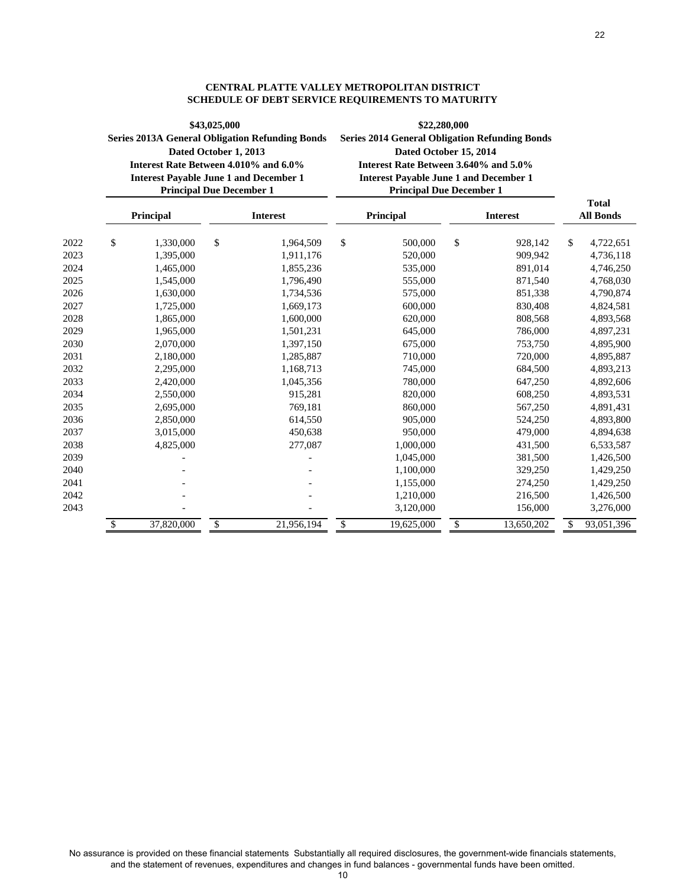|      | Interest Rate Between 4.010% and 6.0%<br><b>Interest Payable June 1 and December 1</b><br><b>Principal Due December 1</b> | Dated October 1, 2013 | <b>Series 2013A General Obligation Refunding Bonds</b> | <b>Series 2014 General Obligation Refunding Bonds</b><br>Dated October 15, 2014<br>Interest Rate Between 3.640% and 5.0%<br><b>Interest Payable June 1 and December 1</b><br><b>Principal Due December 1</b> |                  |                                  |            |  |
|------|---------------------------------------------------------------------------------------------------------------------------|-----------------------|--------------------------------------------------------|--------------------------------------------------------------------------------------------------------------------------------------------------------------------------------------------------------------|------------------|----------------------------------|------------|--|
|      | Principal                                                                                                                 |                       | <b>Interest</b>                                        | Principal                                                                                                                                                                                                    | <b>Interest</b>  | <b>Total</b><br><b>All Bonds</b> |            |  |
| 2022 | \$<br>1,330,000                                                                                                           | \$                    | 1,964,509                                              | \$<br>500,000                                                                                                                                                                                                | \$<br>928,142    | \$                               | 4,722,651  |  |
| 2023 | 1,395,000                                                                                                                 |                       | 1,911,176                                              | 520,000                                                                                                                                                                                                      | 909,942          |                                  | 4,736,118  |  |
| 2024 | 1,465,000                                                                                                                 |                       | 1,855,236                                              | 535,000                                                                                                                                                                                                      | 891,014          |                                  | 4,746,250  |  |
| 2025 | 1,545,000                                                                                                                 |                       | 1,796,490                                              | 555,000                                                                                                                                                                                                      | 871,540          |                                  | 4,768,030  |  |
| 2026 | 1,630,000                                                                                                                 |                       | 1,734,536                                              | 575,000                                                                                                                                                                                                      | 851,338          |                                  | 4,790,874  |  |
| 2027 | 1,725,000                                                                                                                 |                       | 1,669,173                                              | 600,000                                                                                                                                                                                                      | 830,408          |                                  | 4,824,581  |  |
| 2028 | 1,865,000                                                                                                                 |                       | 1,600,000                                              | 620,000                                                                                                                                                                                                      | 808,568          |                                  | 4,893,568  |  |
| 2029 | 1,965,000                                                                                                                 |                       | 1,501,231                                              | 645,000                                                                                                                                                                                                      | 786,000          |                                  | 4,897,231  |  |
| 2030 | 2,070,000                                                                                                                 |                       | 1,397,150                                              | 675,000                                                                                                                                                                                                      | 753,750          |                                  | 4,895,900  |  |
| 2031 | 2,180,000                                                                                                                 |                       | 1,285,887                                              | 710,000                                                                                                                                                                                                      | 720,000          |                                  | 4,895,887  |  |
| 2032 | 2,295,000                                                                                                                 |                       | 1,168,713                                              | 745,000                                                                                                                                                                                                      | 684,500          |                                  | 4,893,213  |  |
| 2033 | 2,420,000                                                                                                                 |                       | 1,045,356                                              | 780,000                                                                                                                                                                                                      | 647,250          |                                  | 4,892,606  |  |
| 2034 | 2,550,000                                                                                                                 |                       | 915,281                                                | 820,000                                                                                                                                                                                                      | 608,250          |                                  | 4,893,531  |  |
| 2035 | 2,695,000                                                                                                                 |                       | 769,181                                                | 860,000                                                                                                                                                                                                      | 567,250          |                                  | 4,891,431  |  |
| 2036 | 2,850,000                                                                                                                 |                       | 614,550                                                | 905,000                                                                                                                                                                                                      | 524,250          |                                  | 4,893,800  |  |
| 2037 | 3,015,000                                                                                                                 |                       | 450,638                                                | 950,000                                                                                                                                                                                                      | 479,000          |                                  | 4,894,638  |  |
| 2038 | 4,825,000                                                                                                                 |                       | 277,087                                                | 1,000,000                                                                                                                                                                                                    | 431,500          |                                  | 6,533,587  |  |
| 2039 |                                                                                                                           |                       |                                                        | 1,045,000                                                                                                                                                                                                    | 381,500          |                                  | 1,426,500  |  |
| 2040 |                                                                                                                           |                       |                                                        | 1,100,000                                                                                                                                                                                                    | 329,250          |                                  | 1,429,250  |  |
| 2041 |                                                                                                                           |                       |                                                        | 1,155,000                                                                                                                                                                                                    | 274,250          |                                  | 1,429,250  |  |
| 2042 |                                                                                                                           |                       |                                                        | 1,210,000                                                                                                                                                                                                    | 216,500          |                                  | 1,426,500  |  |
| 2043 |                                                                                                                           |                       |                                                        | 3,120,000                                                                                                                                                                                                    | 156,000          |                                  | 3,276,000  |  |
|      | \$<br>37,820,000                                                                                                          | \$                    | 21,956,194                                             | \$<br>19,625,000                                                                                                                                                                                             | \$<br>13,650,202 | \$                               | 93,051,396 |  |

#### **CENTRAL PLATTE VALLEY METROPOLITAN DISTRICT SCHEDULE OF DEBT SERVICE REQUIREMENTS TO MATURITY**

**\$22,280,000**

**\$43,025,000**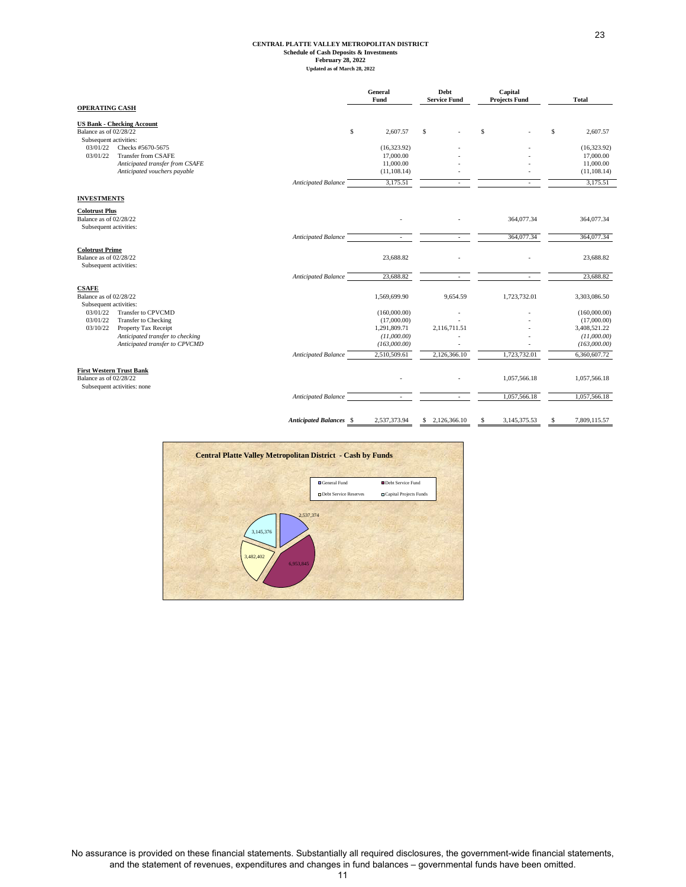# **CENTRAL PLATTE VALLEY METROPOLITAN DISTRICT Schedule of Cash Deposits & Investments February 28, 2022 Updated as of March 28, 2022**

|                                                                                                        |                                | General<br>Fund                             | Debt<br><b>Service Fund</b> | Capital<br><b>Projects Fund</b> | <b>Total</b>                                |
|--------------------------------------------------------------------------------------------------------|--------------------------------|---------------------------------------------|-----------------------------|---------------------------------|---------------------------------------------|
| <b>OPERATING CASH</b>                                                                                  |                                |                                             |                             |                                 |                                             |
| <b>US Bank - Checking Account</b><br>Balance as of 02/28/22                                            |                                | \$<br>2,607.57                              | \$                          | s                               | 2,607.57<br>\$                              |
| Subsequent activities:<br>03/01/22<br>Checks #5670-5675<br>03/01/22<br>Transfer from CSAFE             |                                | (16,323.92)<br>17,000.00                    |                             |                                 | (16, 323.92)<br>17,000.00                   |
| Anticipated transfer from CSAFE<br>Anticipated vouchers payable                                        |                                | 11,000.00<br>(11, 108.14)                   |                             |                                 | 11,000.00<br>(11, 108.14)                   |
|                                                                                                        | Anticipated Balance            | 3,175.51                                    |                             |                                 | 3,175.51                                    |
| <b>INVESTMENTS</b>                                                                                     |                                |                                             |                             |                                 |                                             |
| <b>Colotrust Plus</b><br>Balance as of 02/28/22<br>Subsequent activities:                              |                                |                                             |                             | 364,077.34                      | 364,077.34                                  |
|                                                                                                        | Anticipated Balance            |                                             |                             | 364,077.34                      | 364,077.34                                  |
| <b>Colotrust Prime</b><br>Balance as of 02/28/22<br>Subsequent activities:                             |                                | 23,688.82                                   |                             |                                 | 23,688.82                                   |
|                                                                                                        | <b>Anticipated Balance</b>     | 23,688.82                                   |                             |                                 | 23,688.82                                   |
| <b>CSAFE</b><br>Balance as of 02/28/22<br>Subsequent activities:                                       |                                | 1,569,699.90                                | 9,654.59                    | 1,723,732.01                    | 3,303,086.50                                |
| 03/01/22<br>Transfer to CPVCMD<br>03/01/22<br><b>Transfer to Checking</b>                              |                                | (160,000.00)<br>(17,000.00)                 |                             |                                 | (160,000.00)<br>(17,000.00)                 |
| 03/10/22<br>Property Tax Receipt<br>Anticipated transfer to checking<br>Anticipated transfer to CPVCMD |                                | 1,291,809.71<br>(11,000.00)<br>(163,000,00) | 2,116,711.51                |                                 | 3,408,521.22<br>(11,000.00)<br>(163,000.00) |
|                                                                                                        | Anticipated Balance            | 2,510,509.61                                | 2,126,366.10                | 1,723,732.01                    | 6,360,607.72                                |
| <b>First Western Trust Bank</b><br>Balance as of 02/28/22<br>Subsequent activities: none               |                                |                                             |                             | 1,057,566.18                    | 1,057,566.18                                |
|                                                                                                        | Anticipated Balance            |                                             |                             | 1,057,566.18                    | 1,057,566.18                                |
|                                                                                                        | <b>Anticipated Balances</b> \$ | 2,537,373.94                                | 2,126,366.10<br>S           | s<br>3,145,375.53               | \$<br>7.809.115.57                          |



No assurance is provided on these financial statements. Substantially all required disclosures, the government-wide financial statements, and the statement of revenues, expenditures and changes in fund balances – governmental funds have been omitted. 11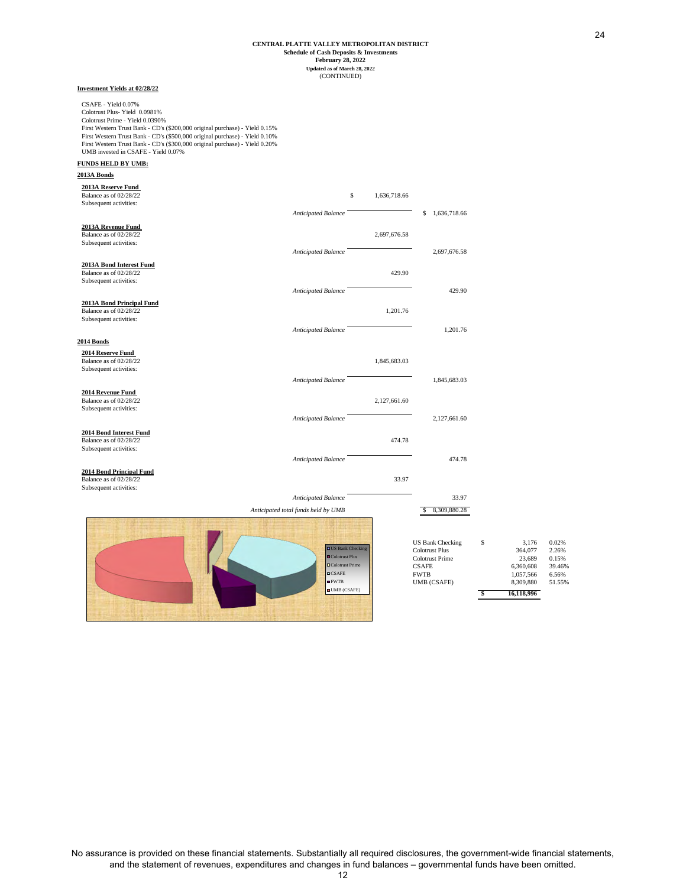#### **February 28, 2022 Schedule of Cash Deposits & Investments Updated as of March 28, 2022** (CONTINUED) **CENTRAL PLATTE VALLEY METROPOLITAN DISTRICT**

#### **Investment Yields at 02/28/22**

CSAFE - Yield 0.07% Colotrust Plus- Yield 0.0981% Colotrust Prime - Yield 0.0390% First Western Trust Bank - CD's (\$200,000 original purchase) - Yield 0.15% First Western Trust Bank - CD's (\$500,000 original purchase) - Yield 0.10% First Western Trust Bank - CD's (\$300,000 original purchase) - Yield 0.20% UMB invested in CSAFE - Yield 0.07%

#### **FUNDS HELD BY UMB:**

**2013A Bonds**

| 2013A Reserve Fund<br>Balance as of 02/28/22<br>Subsequent activities:        |                                                                          | \$<br>1,636,718.66 |                                                                                                           |                                                            |                                            |
|-------------------------------------------------------------------------------|--------------------------------------------------------------------------|--------------------|-----------------------------------------------------------------------------------------------------------|------------------------------------------------------------|--------------------------------------------|
|                                                                               | Anticipated Balance                                                      |                    | \$1,636,718.66                                                                                            |                                                            |                                            |
| 2013A Revenue Fund<br>Balance as of 02/28/22<br>Subsequent activities:        |                                                                          | 2,697,676.58       |                                                                                                           |                                                            |                                            |
|                                                                               | Anticipated Balance                                                      |                    | 2,697,676.58                                                                                              |                                                            |                                            |
| 2013A Bond Interest Fund<br>Balance as of 02/28/22<br>Subsequent activities:  |                                                                          | 429.90             |                                                                                                           |                                                            |                                            |
|                                                                               | Anticipated Balance                                                      |                    | 429.90                                                                                                    |                                                            |                                            |
| 2013A Bond Principal Fund<br>Balance as of 02/28/22<br>Subsequent activities: |                                                                          | 1,201.76           |                                                                                                           |                                                            |                                            |
|                                                                               | <b>Anticipated Balance</b>                                               |                    | 1,201.76                                                                                                  |                                                            |                                            |
| 2014 Bonds                                                                    |                                                                          |                    |                                                                                                           |                                                            |                                            |
| 2014 Reserve Fund<br>Balance as of 02/28/22<br>Subsequent activities:         |                                                                          | 1,845,683.03       |                                                                                                           |                                                            |                                            |
|                                                                               | <b>Anticipated Balance</b>                                               |                    | 1,845,683.03                                                                                              |                                                            |                                            |
| 2014 Revenue Fund<br>Balance as of 02/28/22<br>Subsequent activities:         |                                                                          | 2,127,661.60       |                                                                                                           |                                                            |                                            |
|                                                                               | Anticipated Balance                                                      |                    | 2,127,661.60                                                                                              |                                                            |                                            |
| 2014 Bond Interest Fund<br>Balance as of 02/28/22<br>Subsequent activities:   |                                                                          | 474.78             |                                                                                                           |                                                            |                                            |
|                                                                               | Anticipated Balance                                                      |                    | 474.78                                                                                                    |                                                            |                                            |
| 2014 Bond Principal Fund<br>Balance as of 02/28/22<br>Subsequent activities:  |                                                                          | 33.97              |                                                                                                           |                                                            |                                            |
|                                                                               | Anticipated Balance                                                      |                    | 33.97                                                                                                     |                                                            |                                            |
|                                                                               | Anticipated total funds held by UMB                                      |                    | 8,309,880.28                                                                                              |                                                            |                                            |
|                                                                               | <b>OUS</b> Bank Checking<br>■Colotrust Plus<br>□Colotrust Prime<br>CSAFE |                    | <b>US Bank Checking</b><br><b>Colotrust Plus</b><br><b>Colotrust Prime</b><br><b>CSAFE</b><br><b>FWTB</b> | \$<br>3,176<br>364,077<br>23,689<br>6,360,608<br>1,057,566 | 0.02%<br>2.26%<br>0.15%<br>39.46%<br>6.56% |
|                                                                               | EWTB                                                                     |                    | UMB (CSAFE)                                                                                               | 8,309,880                                                  | 51.55%                                     |

FWTB UMB (CSAFE)

24

**\$ 16,118,996**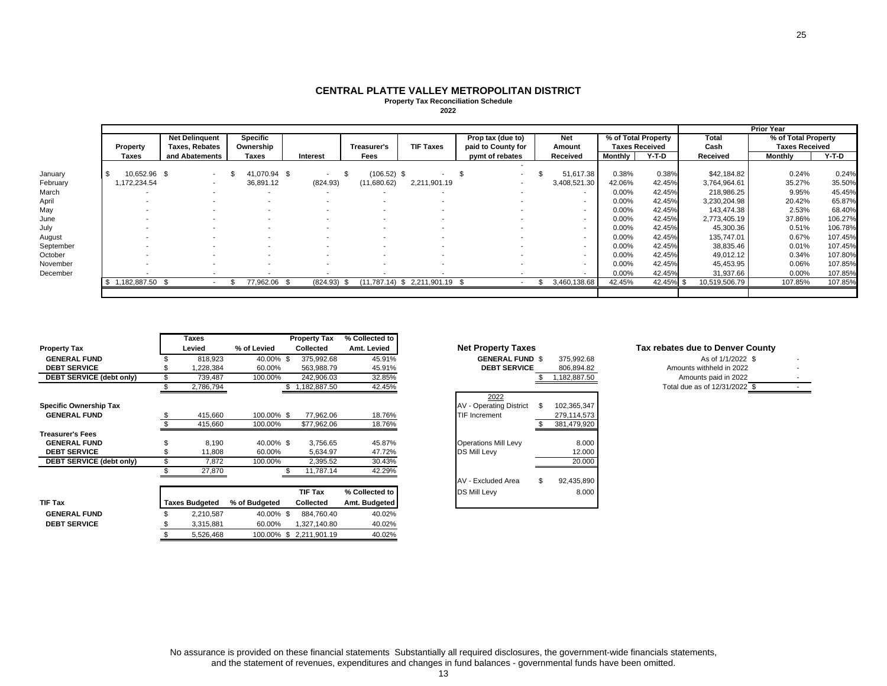#### **CENTRAL PLATTE VALLEY METROPOLITAN DISTRICTProperty Tax Reconciliation Schedule 2022**

|           |          |              |                       |                       |  |                          |  |                          |               |                                  |                          |              |                       |           | <b>Prior Year</b> |                       |         |
|-----------|----------|--------------|-----------------------|-----------------------|--|--------------------------|--|--------------------------|---------------|----------------------------------|--------------------------|--------------|-----------------------|-----------|-------------------|-----------------------|---------|
|           |          |              |                       | <b>Net Delinquent</b> |  | <b>Specific</b>          |  |                          |               |                                  | Prop tax (due to)        | <b>Net</b>   | % of Total Property   |           | Total             | % of Total Property   |         |
|           | Property |              | <b>Taxes, Rebates</b> |                       |  | Ownership                |  |                          | Treasurer's   | <b>TIF Taxes</b>                 | paid to County for       | Amount       | <b>Taxes Received</b> |           | Cash              | <b>Taxes Received</b> |         |
|           |          | Taxes        |                       | and Abatements        |  | Taxes                    |  | Interest                 | Fees          |                                  | pymt of rebates          | Received     | Monthly               | Y-T-D     | Received          | Monthly               | Y-T-D   |
|           |          |              |                       |                       |  |                          |  |                          |               |                                  |                          |              |                       |           |                   |                       |         |
| January   |          | 10,652.96 \$ |                       | $\sim$                |  | 41,070.94 \$             |  | $\overline{\phantom{a}}$ | $(106.52)$ \$ |                                  | $\overline{\phantom{a}}$ | 51,617.38    | 0.38%                 | 0.38%     | \$42,184.82       | 0.24%                 | 0.24%   |
| February  |          | 1,172,234.54 |                       |                       |  | 36,891.12                |  | (824.93)                 | (11,680.62)   | 2,211,901.19                     |                          | 3,408,521.30 | 42.06%                | 42.45%    | 3,764,964.61      | 35.27%                | 35.50%  |
| March     |          |              |                       |                       |  |                          |  |                          |               |                                  |                          |              | 0.00%                 | 42.45%    | 218,986.25        | 9.95%                 | 45.45%  |
| April     |          |              |                       |                       |  |                          |  |                          |               |                                  |                          |              | 0.00%                 | 42.45%    | 3,230,204.98      | 20.42%                | 65.87%  |
| May       |          |              |                       |                       |  |                          |  |                          |               |                                  |                          |              | 0.00%                 | 42.45%    | 143,474.38        | 2.53%                 | 68.40%  |
| June      |          |              |                       |                       |  |                          |  |                          |               |                                  |                          |              | 0.00%                 | 42.45%    | 2,773,405.19      | 37.86%                | 106.27% |
| July      |          |              |                       |                       |  |                          |  |                          |               |                                  |                          |              | 0.00%                 | 42.45%    | 45,300.36         | 0.51%                 | 106.78% |
| August    |          |              |                       |                       |  |                          |  |                          |               |                                  |                          | $\sim$       | 0.00%                 | 42.45%    | 135,747.01        | 0.67%                 | 107.45% |
| September |          |              |                       |                       |  |                          |  |                          |               |                                  |                          | $\sim$       | 0.00%                 | 42.45%    | 38,835.46         | 0.01%                 | 107.45% |
| October   |          |              |                       |                       |  | $\overline{\phantom{a}}$ |  |                          | $\sim$        |                                  |                          | $\sim$       | 0.00%                 | 42.45%    | 49,012.12         | 0.34%                 | 107.80% |
| November  |          |              |                       |                       |  |                          |  |                          |               |                                  |                          |              | 0.00%                 | 42.45%    | 45,453.95         | 0.06%                 | 107.85% |
| December  |          |              |                       |                       |  |                          |  |                          |               |                                  |                          |              | 0.00%                 | 42.45%    | 31,937.66         | 0.00%                 | 107.85% |
|           |          | 1,182,887.50 |                       |                       |  | 77,962.06 \$             |  | (824.93)                 |               | $(11,787.14)$ \$ 2,211,901.19 \$ |                          | 3,460,138.68 | 42.45%                | 42.45% \$ | 10,519,506.79     | 107.85%               | 107.85% |
|           |          |              |                       |                       |  |                          |  |                          |               |                                  |                          |              |                       |           |                   |                       |         |

|                                 | Taxes                 |               | <b>Property Tax</b>     | % Collected to |                                               |                                  |
|---------------------------------|-----------------------|---------------|-------------------------|----------------|-----------------------------------------------|----------------------------------|
| <b>Property Tax</b>             | Levied                | % of Levied   | <b>Collected</b>        | Amt. Levied    | <b>Net Property Taxes</b>                     | Tax rebates due to Denver County |
| <b>GENERAL FUND</b>             | 818,923               | 40.00% \$     | 375,992.68              | 45.91%         | <b>GENERAL FUND \$</b><br>375,992.68          | As of 1/1/2022 \$                |
| <b>DEBT SERVICE</b>             | ,228,384              | 60.00%        | 563,988.79              | 45.91%         | <b>DEBT SERVICE</b><br>806,894.82             | Amounts withheld in 2022         |
| DEBT SERVICE (debt only)        | 739,487               | 100.00%       | 242,906.03              | 32.85%         | 1,182,887.50                                  | Amounts paid in 2022             |
|                                 | 2,786,794             |               | 1,182,887.50            | 42.45%         |                                               | Total due as of 12/31/2022 \$    |
|                                 |                       |               |                         |                | 2022                                          |                                  |
| <b>Specific Ownership Tax</b>   |                       |               |                         |                | <b>AV - Operating District</b><br>102,365,347 |                                  |
| <b>GENERAL FUND</b>             | 415,660               | 100.00% \$    | 77,962.06               | 18.76%         | <b>TIF Increment</b><br>279,114,573           |                                  |
|                                 | 415,660               | 100.00%       | \$77,962.06             | 18.76%         | 381,479,920                                   |                                  |
| <b>Treasurer's Fees</b>         |                       |               |                         |                |                                               |                                  |
| <b>GENERAL FUND</b>             | 8,190                 | 40.00% \$     | 3,756.65                | 45.87%         | 8.000<br><b>Operations Mill Levy</b>          |                                  |
| <b>DEBT SERVICE</b>             | 11,808                | 60.00%        | 5,634.97                | 47.72%         | 12.000<br><b>DS Mill Levy</b>                 |                                  |
| <b>DEBT SERVICE (debt only)</b> | 7,872                 | 100.00%       | 2,395.52                | 30.43%         | 20.000                                        |                                  |
|                                 | 27,870                |               | 11,787.14               | 42.29%         |                                               |                                  |
|                                 |                       |               |                         |                | 92,435,890<br>AV - Excluded Area<br>\$.       |                                  |
|                                 |                       |               | TIF Tax                 | % Collected to | DS Mill Levy<br>8.000                         |                                  |
| TIF Tax                         | <b>Taxes Budgeted</b> | % of Budgeted | Collected               | Amt. Budgeted  |                                               |                                  |
| <b>GENERAL FUND</b>             | 2,210,587             | 40.00% \$     | 884,760.40              | 40.02%         |                                               |                                  |
| <b>DEBT SERVICE</b>             | 3,315,881             | 60.00%        | 1,327,140.80            | 40.02%         |                                               |                                  |
|                                 | 5,526,468             |               | 100.00% \$ 2,211,901.19 | 40.02%         |                                               |                                  |

|             | <b>Net Property Taxes</b>      |     |              |
|-------------|--------------------------------|-----|--------------|
| $\%$        | <b>GENERAL FUND \$</b>         |     | 375,992.68   |
|             | <b>DEBT SERVICE</b>            |     | 806.894.82   |
|             |                                |     | 1,182,887.50 |
| %<br>%<br>% |                                |     |              |
|             | 2022                           |     |              |
|             | <b>AV - Operating District</b> | \$  | 102,365,347  |
|             | <b>TIF Increment</b>           |     | 279,114,573  |
| %<br>%      |                                | \$. | 381.479.920  |
|             |                                |     |              |
| %           | <b>Operations Mill Levy</b>    |     | 8.000        |
|             | DS Mill Levy                   |     | 12.000       |
|             |                                |     | 20.000       |
| %<br>%<br>% |                                |     |              |
|             | AV - Excluded Area             | \$  | 92,435,890   |
| o           | DS Mill Levy                   |     | 8.000        |
| H.          |                                |     |              |

| ax rebates due to Denver County |  |
|---------------------------------|--|
| As of 1/1/2022 \$               |  |
| Amounts withheld in 2022        |  |
| $A$ mounte noid in 2022         |  |

| <b>AU UI IIILULL</b> W        |   |
|-------------------------------|---|
| Amounts withheld in 2022      |   |
| Amounts paid in 2022          | ۰ |
| Total due as of 12/31/2022 \$ |   |
|                               |   |

No assurance is provided on these financial statements Substantially all required disclosures, the government-wide financials statements,<br>and the statement of revenues, expenditures and changes in fund balances - governmen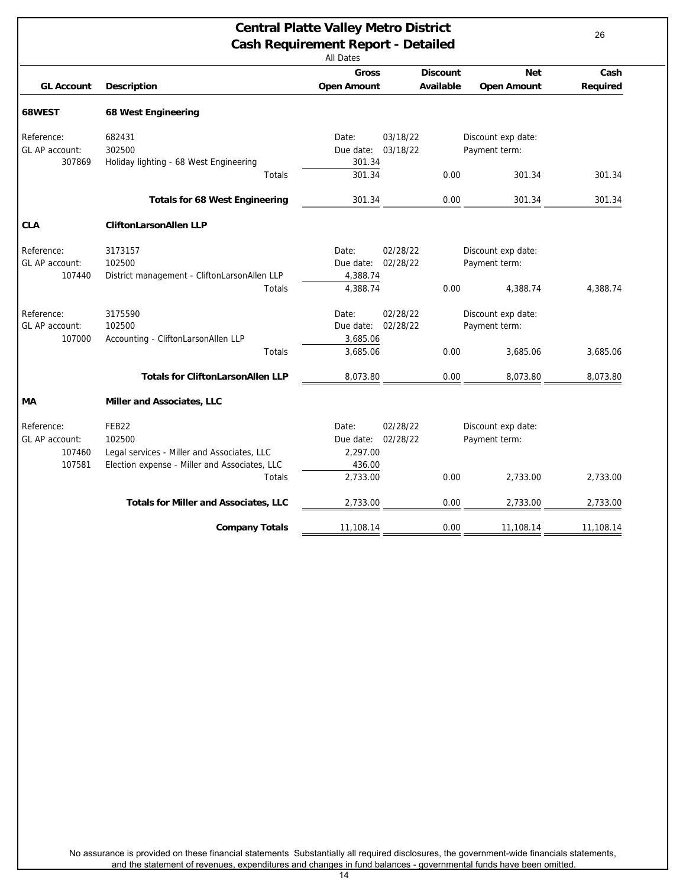<span id="page-25-0"></span>

| <b>Central Platte Valley Metro District</b><br><b>Cash Requirement Report - Detailed</b><br><b>All Dates</b> |                                                               |                                |                      |                                     |           |  |  |
|--------------------------------------------------------------------------------------------------------------|---------------------------------------------------------------|--------------------------------|----------------------|-------------------------------------|-----------|--|--|
|                                                                                                              |                                                               | <b>Gross</b>                   | <b>Discount</b>      | <b>Net</b>                          | Cash      |  |  |
| <b>GL Account</b>                                                                                            | <b>Description</b>                                            | <b>Open Amount</b>             | Available            | <b>Open Amount</b>                  | Required  |  |  |
| 68WEST                                                                                                       | <b>68 West Engineering</b>                                    |                                |                      |                                     |           |  |  |
| Reference:                                                                                                   | 682431                                                        | Date:                          | 03/18/22             | Discount exp date:                  |           |  |  |
| GL AP account:                                                                                               | 302500                                                        | Due date:                      | 03/18/22             | Payment term:                       |           |  |  |
| 307869                                                                                                       | Holiday lighting - 68 West Engineering                        | 301.34                         |                      |                                     |           |  |  |
|                                                                                                              | Totals                                                        | 301.34                         | 0.00                 | 301.34                              | 301.34    |  |  |
|                                                                                                              | <b>Totals for 68 West Engineering</b>                         | 301.34                         | 0.00                 | 301.34                              | 301.34    |  |  |
| <b>CLA</b>                                                                                                   | <b>CliftonLarsonAllen LLP</b>                                 |                                |                      |                                     |           |  |  |
| Reference:<br>GL AP account:<br>107440                                                                       | 3173157<br>102500                                             | Date:<br>Due date:<br>4,388.74 | 02/28/22<br>02/28/22 | Discount exp date:<br>Payment term: |           |  |  |
|                                                                                                              | District management - CliftonLarsonAllen LLP<br><b>Totals</b> | 4,388.74                       | 0.00                 | 4,388.74                            | 4,388.74  |  |  |
| Reference:                                                                                                   | 3175590                                                       | Date:                          | 02/28/22             | Discount exp date:                  |           |  |  |
| GL AP account:                                                                                               | 102500                                                        | Due date:                      | 02/28/22             | Payment term:                       |           |  |  |
| 107000                                                                                                       | Accounting - CliftonLarsonAllen LLP                           | 3,685.06                       |                      |                                     |           |  |  |
|                                                                                                              | Totals                                                        | 3,685.06                       | 0.00                 | 3,685.06                            | 3,685.06  |  |  |
|                                                                                                              | <b>Totals for CliftonLarsonAllen LLP</b>                      | 8,073.80                       | 0.00                 | 8,073.80                            | 8,073.80  |  |  |
| МA                                                                                                           | Miller and Associates, LLC                                    |                                |                      |                                     |           |  |  |
| Reference:                                                                                                   | FEB <sub>22</sub>                                             | Date:                          | 02/28/22             | Discount exp date:                  |           |  |  |
| GL AP account:                                                                                               | 102500                                                        | Due date:                      | 02/28/22             | Payment term:                       |           |  |  |
| 107460                                                                                                       | Legal services - Miller and Associates, LLC                   | 2,297.00                       |                      |                                     |           |  |  |
| 107581                                                                                                       | Election expense - Miller and Associates, LLC                 | 436.00                         |                      |                                     |           |  |  |
|                                                                                                              | Totals                                                        | 2,733.00                       | 0.00                 | 2,733.00                            | 2,733.00  |  |  |
|                                                                                                              | <b>Totals for Miller and Associates, LLC</b>                  | 2,733.00                       | 0.00                 | 2,733.00                            | 2,733.00  |  |  |
|                                                                                                              | <b>Company Totals</b>                                         | 11,108.14                      | 0.00                 | 11,108.14                           | 11,108.14 |  |  |
|                                                                                                              |                                                               |                                |                      |                                     |           |  |  |

No assurance is provided on these financial statements Substantially all required disclosures, the government-wide financials statements, and the statement of revenues, expenditures and changes in fund balances - governmental funds have been omitted.